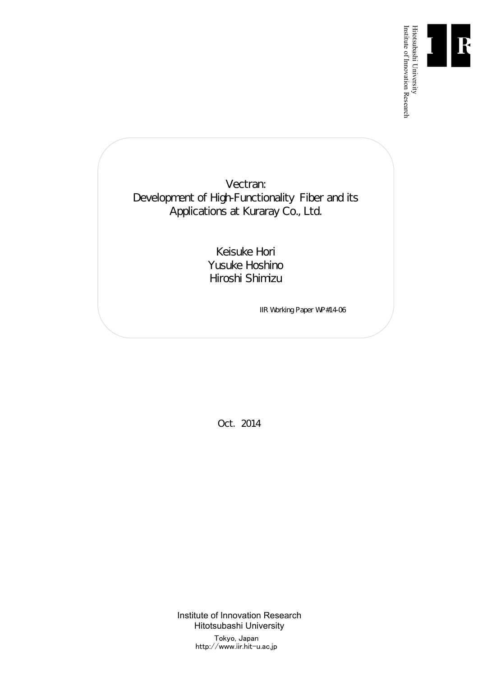

Institute of Innovation Research

Vectran: Development of High-Functionality Fiber and its Applications at Kuraray Co., Ltd.

> Keisuke Hori Yusuke Hoshino Hiroshi Shimizu

> > IIR Working Paper WP#14-06

Oct. 2014

Institute of Innovation Research Hitotsubashi University Tokyo, Japan http://www.iir.hit-u.ac.jp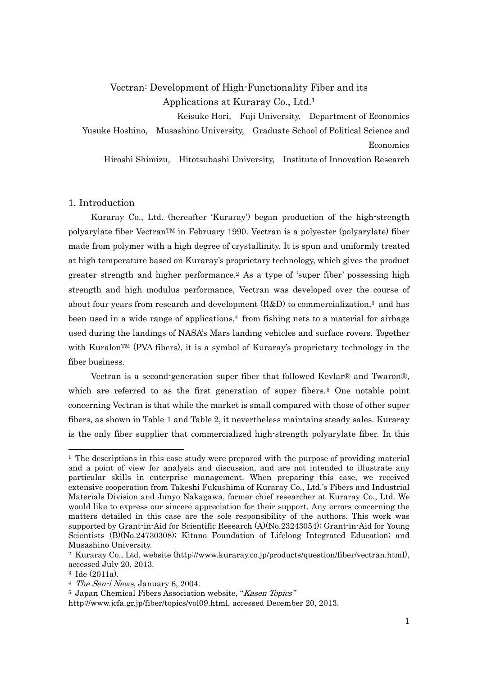# Vectran: Development of High-Functionality Fiber and its Applications at Kuraray Co., Ltd.1

Keisuke Hori, Fuji University, Department of Economics Yusuke Hoshino, Musashino University, Graduate School of Political Science and Economics

Hiroshi Shimizu, Hitotsubashi University, Institute of Innovation Research

### 1. Introduction

Kuraray Co., Ltd. (hereafter 'Kuraray') began production of the high-strength polyarylate fiber VectranTM in February 1990. Vectran is a polyester (polyarylate) fiber made from polymer with a high degree of crystallinity. It is spun and uniformly treated at high temperature based on Kuraray's proprietary technology, which gives the product greater strength and higher performance.2 As a type of 'super fiber' possessing high strength and high modulus performance, Vectran was developed over the course of about four years from research and development  $(R&D)$  to commercialization,<sup>3</sup> and has been used in a wide range of applications, $4$  from fishing nets to a material for airbags used during the landings of NASA's Mars landing vehicles and surface rovers. Together with Kuralon<sup>TM</sup> (PVA fibers), it is a symbol of Kuraray's proprietary technology in the fiber business.

Vectran is a second-generation super fiber that followed Kevlar® and Twaron®, which are referred to as the first generation of super fibers.<sup>5</sup> One notable point concerning Vectran is that while the market is small compared with those of other super fibers, as shown in Table 1 and Table 2, it nevertheless maintains steady sales. Kuraray is the only fiber supplier that commercialized high-strength polyarylate fiber. In this

<sup>1</sup> The descriptions in this case study were prepared with the purpose of providing material and a point of view for analysis and discussion, and are not intended to illustrate any particular skills in enterprise management. When preparing this case, we received extensive cooperation from Takeshi Fukushima of Kuraray Co., Ltd.'s Fibers and Industrial Materials Division and Junyo Nakagawa, former chief researcher at Kuraray Co., Ltd. We would like to express our sincere appreciation for their support. Any errors concerning the matters detailed in this case are the sole responsibility of the authors. This work was supported by Grant-in-Aid for Scientific Research (A)(No.23243054); Grant-in-Aid for Young Scientists (B)(No.24730308); Kitano Foundation of Lifelong Integrated Education; and Musashino University.

<sup>2</sup> Kuraray Co., Ltd. website (http://www.kuraray.co.jp/products/question/fiber/vectran.html), accessed July 20, 2013.

<sup>3</sup> Ide (2011a).

<sup>&</sup>lt;sup>4</sup> The Sen-i News, January 6, 2004.

<sup>5</sup> Japan Chemical Fibers Association website, "Kasen Topics"

http://www.jcfa.gr.jp/fiber/topics/vol09.html, accessed December 20, 2013.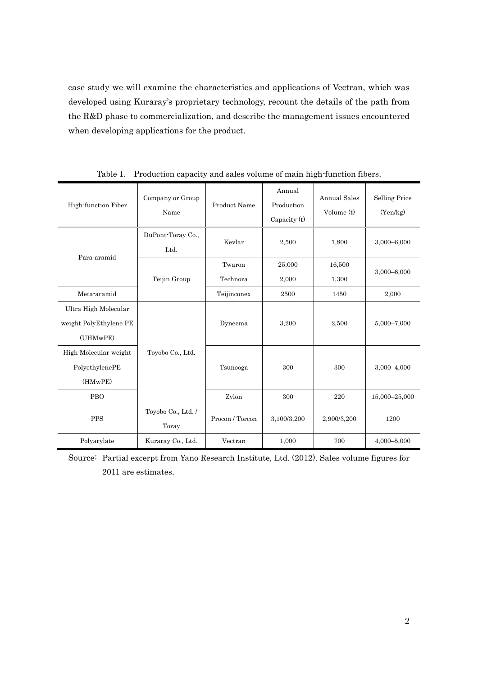case study we will examine the characteristics and applications of Vectran, which was developed using Kuraray's proprietary technology, recount the details of the path from the R&D phase to commercialization, and describe the management issues encountered when developing applications for the product.

| High-function Fiber                                        | Company or Group<br>Name    | Product Name    | Annual<br>Production<br>Capacity (t) | Annual Sales<br>Volume $(t)$ | <b>Selling Price</b><br>(Yen/kg) |  |
|------------------------------------------------------------|-----------------------------|-----------------|--------------------------------------|------------------------------|----------------------------------|--|
| Para-aramid                                                | DuPont-Toray Co.,<br>Ltd.   | Kevlar          | 2,500                                | 1,800                        | 3,000-6,000                      |  |
|                                                            |                             | Twaron          | 16,500<br>25,000                     |                              |                                  |  |
|                                                            | Teijin Group                | Technora        | 2,000                                | 1,300                        | 3,000-6,000                      |  |
| Meta-aramid                                                |                             | Teijinconex     | 2500                                 | 1450                         | 2,000                            |  |
| Ultra High Molecular<br>weight PolyEthylene PE<br>(UHMwPE) |                             | Dyneema         | 3,200                                | 2,500                        | 5,000-7,000                      |  |
| High Molecular weight<br>PolyethylenePE<br>(HMwPE)         | Toyobo Co., Ltd.            | Tsunooga        | 300                                  | 300                          | $3,000 - 4,000$                  |  |
| PBO                                                        |                             | Zylon           | 300                                  | 220                          | 15,000-25,000                    |  |
| <b>PPS</b>                                                 | Toyobo Co., Ltd. /<br>Toray | Procon / Torcon | 3,100/3,200                          | 2,900/3,200                  | 1200                             |  |
| Polyarylate                                                | Kuraray Co., Ltd.           | Vectran         | 1,000                                | 700                          | $4,000 - 5,000$                  |  |

Table 1. Production capacity and sales volume of main high-function fibers.

Source: Partial excerpt from Yano Research Institute, Ltd. (2012). Sales volume figures for 2011 are estimates.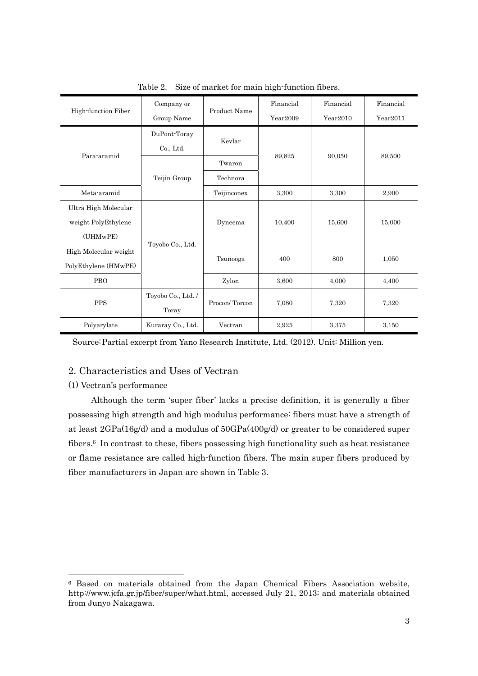|                       | Company or         |               | Financial | Financial | Financial |  |
|-----------------------|--------------------|---------------|-----------|-----------|-----------|--|
| High-function Fiber   | Group Name         | Product Name  | Year2009  | Year2010  | Year2011  |  |
|                       | DuPont-Toray       | Kevlar        |           | 90,050    | 89,500    |  |
| Para-aramid           | Co., Ltd.          |               | 89,825    |           |           |  |
|                       |                    | Twaron        |           |           |           |  |
|                       | Teijin Group       | Technora      |           |           |           |  |
| Meta-aramid           |                    | Teijinconex   | 3,300     | 3,300     | 2,900     |  |
| Ultra High Molecular  |                    |               |           |           |           |  |
| weight PolyEthylene   |                    | Dyneema       | 10,400    | 15,600    | 15,000    |  |
| (UHMwPE)              |                    |               |           |           |           |  |
| High Molecular weight | Toyobo Co., Ltd.   |               | 400       | 800       | 1,050     |  |
| PolyEthylene (HMwPE)  |                    | Tsunooga      |           |           |           |  |
| <b>PBO</b>            |                    | Zylon         | 3,600     | 4,000     | 4,400     |  |
|                       | Toyobo Co., Ltd. / | Procon/Torcon | 7,080     |           | 7,320     |  |
| <b>PPS</b>            | Toray              |               |           | 7,320     |           |  |
| Polyarylate           | Kuraray Co., Ltd.  | Vectran       | 2,925     | 3.375     | 3,150     |  |

Table 2. Size of market for main high-function fibers.

Source: Partial excerpt from Yano Research Institute, Ltd. (2012). Unit: Million yen.

## 2. Characteristics and Uses of Vectran

### (1) Vectran's performance

-

Although the term 'super fiber' lacks a precise definition, it is generally a fiber possessing high strength and high modulus performance: fibers must have a strength of at least 2GPa(16g/d) and a modulus of 50GPa(400g/d) or greater to be considered super fibers.<sup>6</sup> In contrast to these, fibers possessing high functionality such as heat resistance or flame resistance are called high-function fibers. The main super fibers produced by fiber manufacturers in Japan are shown in Table 3.

<sup>6</sup> Based on materials obtained from the Japan Chemical Fibers Association website, http://www.jcfa.gr.jp/fiber/super/what.html, accessed July 21, 2013; and materials obtained from Junyo Nakagawa.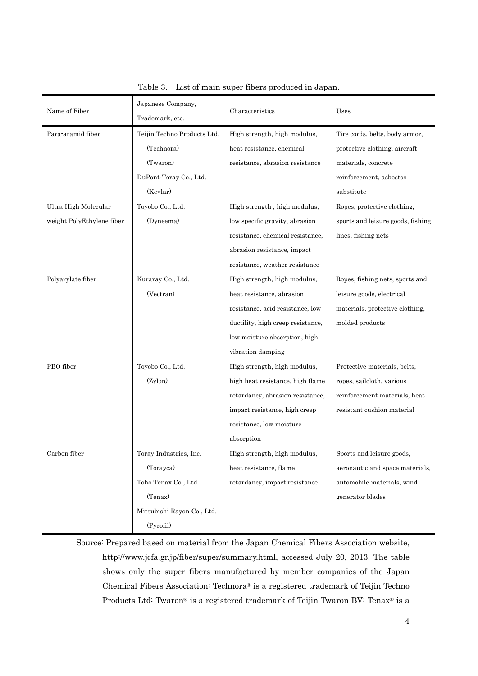| Name of Fiber             | Japanese Company,<br>Trademark, etc. | Characteristics                   | Uses                              |
|---------------------------|--------------------------------------|-----------------------------------|-----------------------------------|
| Para-aramid fiber         | Teijin Techno Products Ltd.          | High strength, high modulus,      | Tire cords, belts, body armor,    |
|                           | (Technora)                           | heat resistance, chemical         | protective clothing, aircraft     |
|                           | (Twaron)                             | resistance, abrasion resistance   | materials, concrete               |
|                           | DuPont-Toray Co., Ltd.               |                                   | reinforcement, asbestos           |
|                           | (Kevlar)                             |                                   | substitute                        |
| Ultra High Molecular      | Toyobo Co., Ltd.                     | High strength, high modulus,      | Ropes, protective clothing,       |
| weight PolyEthylene fiber | (Dyneema)                            | low specific gravity, abrasion    | sports and leisure goods, fishing |
|                           |                                      | resistance, chemical resistance,  | lines, fishing nets               |
|                           |                                      | abrasion resistance, impact       |                                   |
|                           |                                      | resistance, weather resistance    |                                   |
| Polyarylate fiber         | Kuraray Co., Ltd.                    | High strength, high modulus,      | Ropes, fishing nets, sports and   |
|                           | (Vectran)                            | heat resistance, abrasion         | leisure goods, electrical         |
|                           |                                      | resistance, acid resistance, low  | materials, protective clothing,   |
|                           |                                      | ductility, high creep resistance, | molded products                   |
|                           |                                      | low moisture absorption, high     |                                   |
|                           |                                      | vibration damping                 |                                   |
| PBO fiber                 | Toyobo Co., Ltd.                     | High strength, high modulus,      | Protective materials, belts,      |
|                           | (Zylon)                              | high heat resistance, high flame  | ropes, sailcloth, various         |
|                           |                                      | retardancy, abrasion resistance,  | reinforcement materials, heat     |
|                           |                                      | impact resistance, high creep     | resistant cushion material        |
|                           |                                      | resistance, low moisture          |                                   |
|                           |                                      | absorption                        |                                   |
| Carbon fiber              | Toray Industries, Inc.               | High strength, high modulus,      | Sports and leisure goods,         |
|                           | (Torayca)                            | heat resistance, flame            | aeronautic and space materials,   |
|                           | Toho Tenax Co., Ltd.                 | retardancy, impact resistance     | automobile materials, wind        |
|                           | (Tenax)                              |                                   | generator blades                  |
|                           | Mitsubishi Rayon Co., Ltd.           |                                   |                                   |
|                           | (Pyrofil)                            |                                   |                                   |

Table 3. List of main super fibers produced in Japan.

Source: Prepared based on material from the Japan Chemical Fibers Association website, http://www.jcfa.gr.jp/fiber/super/summary.html, accessed July 20, 2013. The table shows only the super fibers manufactured by member companies of the Japan Chemical Fibers Association: Technora® is a registered trademark of Teijin Techno Products Ltd; Twaron® is a registered trademark of Teijin Twaron BV; Tenax® is a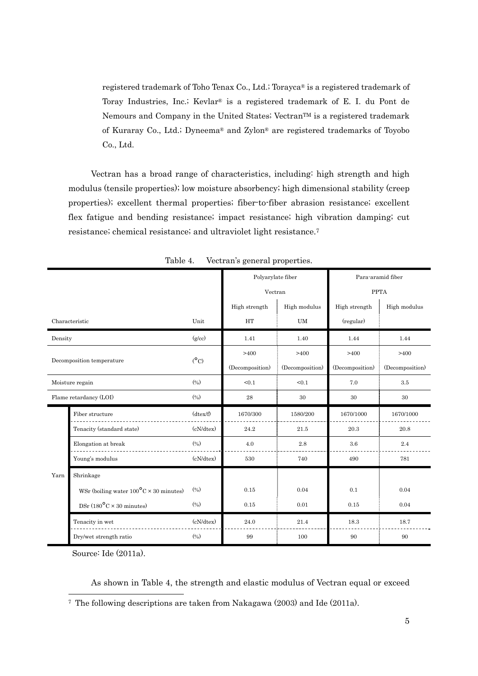registered trademark of Toho Tenax Co., Ltd.; Torayca® is a registered trademark of Toray Industries, Inc.; Kevlar® is a registered trademark of E. I. du Pont de Nemours and Company in the United States; Vectran™ is a registered trademark of Kuraray Co., Ltd.; Dyneema® and Zylon® are registered trademarks of Toyobo Co., Ltd.

Vectran has a broad range of characteristics, including: high strength and high modulus (tensile properties); low moisture absorbency; high dimensional stability (creep properties); excellent thermal properties; fiber-to-fiber abrasion resistance; excellent flex fatigue and bending resistance; impact resistance; high vibration damping; cut resistance; chemical resistance; and ultraviolet light resistance.7

|                        |                                                                               | Polyarylate fiber |                 | Para-aramid fiber |                 |                 |
|------------------------|-------------------------------------------------------------------------------|-------------------|-----------------|-------------------|-----------------|-----------------|
|                        |                                                                               | Vectran           |                 | <b>PPTA</b>       |                 |                 |
|                        |                                                                               |                   | High strength   | High modulus      | High strength   | High modulus    |
| Characteristic         |                                                                               | Unit              | <b>HT</b>       | <b>UM</b>         | (regular)       |                 |
| Density                |                                                                               | (g/cc)            | 1.41            | 1.40              | 1.44            | 1.44            |
|                        |                                                                               |                   | >400            | >400              | >400            | >400            |
|                        | Decomposition temperature                                                     | $(^{\circ}C)$     | (Decomposition) | (Decomposition)   | (Decomposition) | (Decomposition) |
| Moisture regain        |                                                                               | (9/6)             | < 0.1           | < 0.1             | 7.0             | 3.5             |
| Flame retardancy (LOI) |                                                                               | (9/0)             | 28              | 30                | 30              | 30              |
|                        |                                                                               |                   |                 |                   |                 |                 |
|                        | Fiber structure                                                               | $(dtext{tex/f})$  | 1670/300        | 1580/200          | 1670/1000       | 1670/1000       |
|                        | Tenacity (standard state)                                                     | (cN/dtex)         | 24.2            | 21.5              | 20.3            | 20.8            |
|                        | Elongation at break                                                           | (9/6)             | 4.0             | 2.8               | 3.6             | 2.4             |
|                        | Young's modulus                                                               | (cN/dtex)         | 530             | 740               | 490             | 781             |
| Yarn                   | Shrinkage                                                                     |                   |                 |                   |                 |                 |
|                        | WSr (boiling water $100^{\circ}$ C × 30 minutes)                              | (9/6)             | 0.15            | 0.04              | 0.1             | 0.04            |
|                        | $\mathrm{DSr}\left(180\text{\textdegree{}C}\times30\;\mathrm{minutes}\right)$ | (9/6)             | 0.15            | 0.01              | 0.15            | 0.04            |
|                        | Tenacity in wet                                                               | (cN/dtex)         | 24.0            | 21.4              | 18.3            | 18.7            |

Table 4. Vectran's general properties.

Source: Ide (2011a).

-

As shown in Table 4, the strength and elastic modulus of Vectran equal or exceed

<sup>7</sup> The following descriptions are taken from Nakagawa (2003) and Ide (2011a).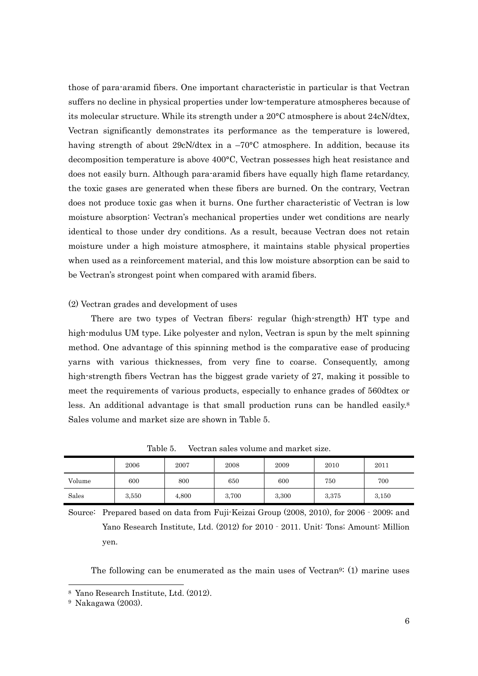those of para-aramid fibers. One important characteristic in particular is that Vectran suffers no decline in physical properties under low-temperature atmospheres because of its molecular structure. While its strength under a 20°C atmosphere is about 24cN/dtex, Vectran significantly demonstrates its performance as the temperature is lowered, having strength of about 29cN/dtex in a  $-70^{\circ}$ C atmosphere. In addition, because its decomposition temperature is above 400°C, Vectran possesses high heat resistance and does not easily burn. Although para-aramid fibers have equally high flame retardancy, the toxic gases are generated when these fibers are burned. On the contrary, Vectran does not produce toxic gas when it burns. One further characteristic of Vectran is low moisture absorption: Vectran's mechanical properties under wet conditions are nearly identical to those under dry conditions. As a result, because Vectran does not retain moisture under a high moisture atmosphere, it maintains stable physical properties when used as a reinforcement material, and this low moisture absorption can be said to be Vectran's strongest point when compared with aramid fibers.

#### (2) Vectran grades and development of uses

There are two types of Vectran fibers: regular (high-strength) HT type and high-modulus UM type. Like polyester and nylon, Vectran is spun by the melt spinning method. One advantage of this spinning method is the comparative ease of producing yarns with various thicknesses, from very fine to coarse. Consequently, among high-strength fibers Vectran has the biggest grade variety of 27, making it possible to meet the requirements of various products, especially to enhance grades of 560dtex or less. An additional advantage is that small production runs can be handled easily.<sup>8</sup> Sales volume and market size are shown in Table 5.

|        | 2006  | 2007  | 2008  | 2009  | 2010  | 2011  |
|--------|-------|-------|-------|-------|-------|-------|
| Volume | 600   | 800   | 650   | 600   | 750   | 700   |
| Sales  | 3,550 | 4,800 | 3,700 | 3,300 | 3,375 | 3,150 |

Table 5. Vectran sales volume and market size.

Source: Prepared based on data from Fuji-Keizai Group (2008, 2010), for 2006‐2009; and Yano Research Institute, Ltd. (2012) for 2010‐2011. Unit: Tons; Amount: Million yen.

The following can be enumerated as the main uses of Vectran9: (1) marine uses

<sup>8</sup> Yano Research Institute, Ltd. (2012).

<sup>9</sup> Nakagawa (2003).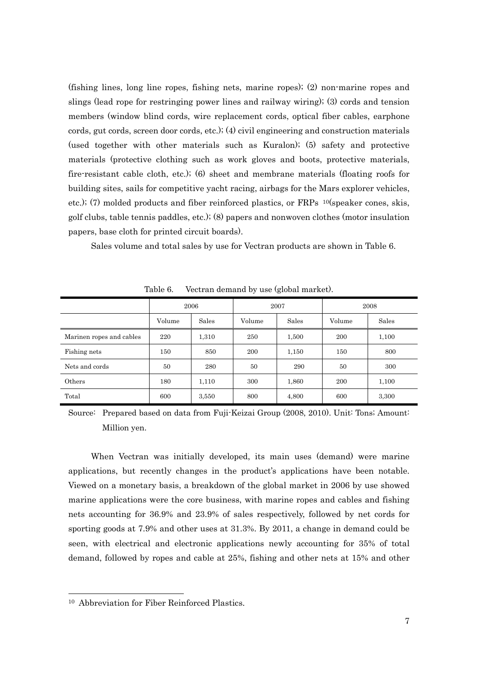(fishing lines, long line ropes, fishing nets, marine ropes); (2) non-marine ropes and slings (lead rope for restringing power lines and railway wiring); (3) cords and tension members (window blind cords, wire replacement cords, optical fiber cables, earphone cords, gut cords, screen door cords, etc.); (4) civil engineering and construction materials (used together with other materials such as Kuralon); (5) safety and protective materials (protective clothing such as work gloves and boots, protective materials, fire-resistant cable cloth, etc.); (6) sheet and membrane materials (floating roofs for building sites, sails for competitive yacht racing, airbags for the Mars explorer vehicles, etc.); (7) molded products and fiber reinforced plastics, or  $\text{FRPs}$  <sup>10</sup>(speaker cones, skis, golf clubs, table tennis paddles, etc.); (8) papers and nonwoven clothes (motor insulation papers, base cloth for printed circuit boards).

Sales volume and total sales by use for Vectran products are shown in Table 6.

|                          | 2006   |       |        | 2007  | 2008   |       |
|--------------------------|--------|-------|--------|-------|--------|-------|
|                          | Volume | Sales | Volume | Sales | Volume | Sales |
| Marinen ropes and cables | 220    | 1,310 | 250    | 1,500 | 200    | 1,100 |
| Fishing nets             | 150    | 850   | 200    | 1,150 | 150    | 800   |
| Nets and cords           | 50     | 280   | 50     | 290   | 50     | 300   |
| Others                   | 180    | 1,110 | 300    | 1,860 | 200    | 1,100 |
| Total                    | 600    | 3,550 | 800    | 4,800 | 600    | 3,300 |

Table 6. Vectran demand by use (global market).

Source: Prepared based on data from Fuji-Keizai Group (2008, 2010). Unit: Tons; Amount: Million yen.

When Vectran was initially developed, its main uses (demand) were marine applications, but recently changes in the product's applications have been notable. Viewed on a monetary basis, a breakdown of the global market in 2006 by use showed marine applications were the core business, with marine ropes and cables and fishing nets accounting for 36.9% and 23.9% of sales respectively, followed by net cords for sporting goods at 7.9% and other uses at 31.3%. By 2011, a change in demand could be seen, with electrical and electronic applications newly accounting for 35% of total demand, followed by ropes and cable at 25%, fishing and other nets at 15% and other

<sup>10</sup> Abbreviation for Fiber Reinforced Plastics.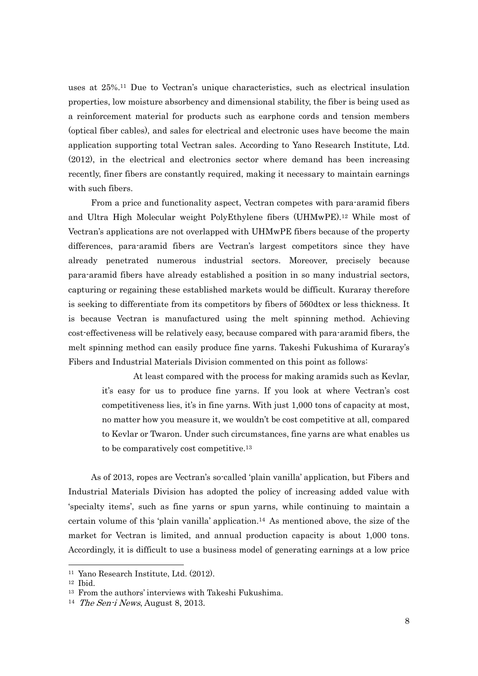uses at 25%.11 Due to Vectran's unique characteristics, such as electrical insulation properties, low moisture absorbency and dimensional stability, the fiber is being used as a reinforcement material for products such as earphone cords and tension members (optical fiber cables), and sales for electrical and electronic uses have become the main application supporting total Vectran sales. According to Yano Research Institute, Ltd. (2012), in the electrical and electronics sector where demand has been increasing recently, finer fibers are constantly required, making it necessary to maintain earnings with such fibers.

From a price and functionality aspect, Vectran competes with para-aramid fibers and Ultra High Molecular weight PolyEthylene fibers (UHMwPE).12 While most of Vectran's applications are not overlapped with UHMwPE fibers because of the property differences, para-aramid fibers are Vectran's largest competitors since they have already penetrated numerous industrial sectors. Moreover, precisely because para-aramid fibers have already established a position in so many industrial sectors, capturing or regaining these established markets would be difficult. Kuraray therefore is seeking to differentiate from its competitors by fibers of 560dtex or less thickness. It is because Vectran is manufactured using the melt spinning method. Achieving cost-effectiveness will be relatively easy, because compared with para-aramid fibers, the melt spinning method can easily produce fine yarns. Takeshi Fukushima of Kuraray's Fibers and Industrial Materials Division commented on this point as follows:

 At least compared with the process for making aramids such as Kevlar, it's easy for us to produce fine yarns. If you look at where Vectran's cost competitiveness lies, it's in fine yarns. With just 1,000 tons of capacity at most, no matter how you measure it, we wouldn't be cost competitive at all, compared to Kevlar or Twaron. Under such circumstances, fine yarns are what enables us to be comparatively cost competitive.13

As of 2013, ropes are Vectran's so-called 'plain vanilla' application, but Fibers and Industrial Materials Division has adopted the policy of increasing added value with 'specialty items', such as fine yarns or spun yarns, while continuing to maintain a certain volume of this 'plain vanilla' application.14 As mentioned above, the size of the market for Vectran is limited, and annual production capacity is about 1,000 tons. Accordingly, it is difficult to use a business model of generating earnings at a low price

<sup>11</sup> Yano Research Institute, Ltd. (2012).

<sup>12</sup> Ibid.

<sup>13</sup> From the authors' interviews with Takeshi Fukushima.

<sup>&</sup>lt;sup>14</sup> The Sen-i News, August 8, 2013.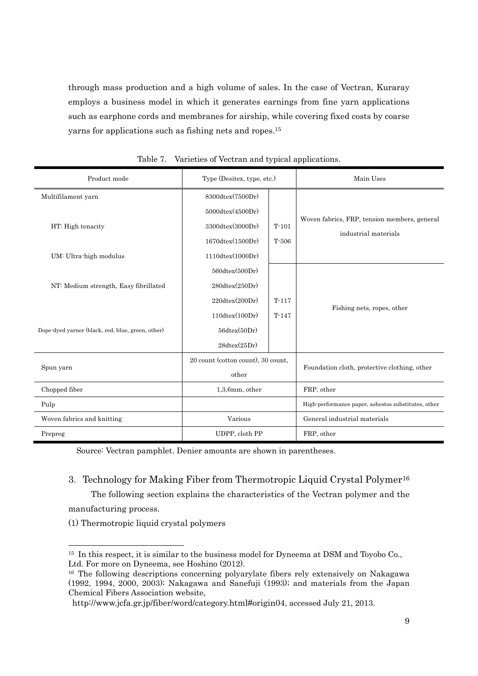through mass production and a high volume of sales. In the case of Vectran, Kuraray employs a business model in which it generates earnings from fine yarn applications such as earphone cords and membranes for airship, while covering fixed costs by coarse yarns for applications such as fishing nets and ropes.15

| Product mode                                      | Type (Desitex, type, etc.)         |         | Main Uses                                           |  |
|---------------------------------------------------|------------------------------------|---------|-----------------------------------------------------|--|
| Multifilament yarn                                | 8300dtex(7500Dr)                   |         |                                                     |  |
|                                                   | $5000$ dtex $(4500Dr)$             |         |                                                     |  |
| HT: High tenacity                                 | $3300$ dtex $(3000Dr)$             | $T-101$ | Woven fabrics, FRP, tension members, general        |  |
|                                                   | $1670d$ tex $(1500Dr)$             | $T-506$ | industrial materials                                |  |
| UM: Ultra-high modulus                            | $1110$ dtex $(1000Dr)$             |         |                                                     |  |
|                                                   | $560$ dtex $(500Dr)$               |         |                                                     |  |
| NT: Medium strength, Easy fibrillated             | 280dtext(x/250Dr)                  |         |                                                     |  |
|                                                   | $220$ dtex $(200Dr)$               | $T-117$ |                                                     |  |
|                                                   | $110$ dtex $(100Dr)$               | $T-147$ | Fishing nets, ropes, other                          |  |
| Dope-dyed yarner (black, red, blue, green, other) | 56dtext(x(50Dr)                    |         |                                                     |  |
|                                                   | $28dtext{tex}(25Dr)$               |         |                                                     |  |
|                                                   | 20 count (cotton count), 30 count, |         |                                                     |  |
| Spun yarn                                         | other                              |         | Foundation cloth, protective clothing, other        |  |
| Chopped fiber                                     | $1,3,6$ mm, other                  |         | FRP, other                                          |  |
| Pulp                                              |                                    |         | High-performance paper, asbestos substitutes, other |  |
| Woven fabrics and knitting                        | Various                            |         | General industrial materials                        |  |
| Prepreg                                           | UDPP, cloth PP                     |         | FRP, other                                          |  |

| Table 7. Varieties of Vectran and typical applications. |  |
|---------------------------------------------------------|--|
|---------------------------------------------------------|--|

Source: Vectran pamphlet. Denier amounts are shown in parentheses.

## 3.Technology for Making Fiber from Thermotropic Liquid Crystal Polymer16

The following section explains the characteristics of the Vectran polymer and the

manufacturing process.

-

(1) Thermotropic liquid crystal polymers

<sup>&</sup>lt;sup>15</sup> In this respect, it is similar to the business model for Dyneema at DSM and Toyobo Co., Ltd. For more on Dyneema, see Hoshino (2012).

<sup>16</sup> The following descriptions concerning polyarylate fibers rely extensively on Nakagawa (1992, 1994, 2000, 2003); Nakagawa and Sanefuji (1993); and materials from the Japan Chemical Fibers Association website,

http://www.jcfa.gr.jp/fiber/word/category.html#origin04, accessed July 21, 2013.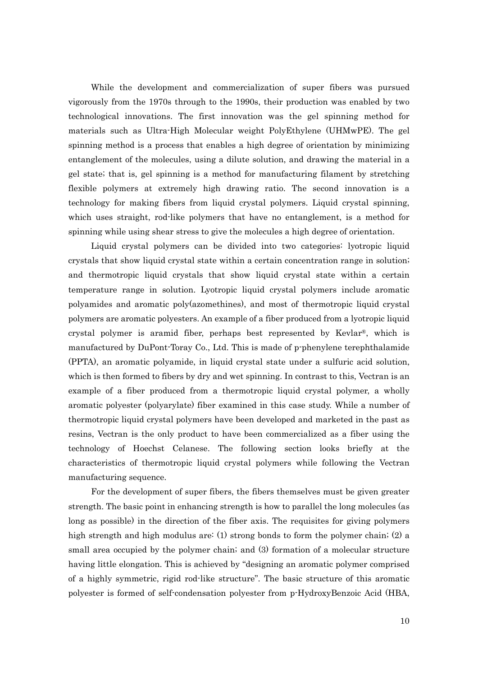While the development and commercialization of super fibers was pursued vigorously from the 1970s through to the 1990s, their production was enabled by two technological innovations. The first innovation was the gel spinning method for materials such as Ultra-High Molecular weight PolyEthylene (UHMwPE). The gel spinning method is a process that enables a high degree of orientation by minimizing entanglement of the molecules, using a dilute solution, and drawing the material in a gel state; that is, gel spinning is a method for manufacturing filament by stretching flexible polymers at extremely high drawing ratio. The second innovation is a technology for making fibers from liquid crystal polymers. Liquid crystal spinning, which uses straight, rod-like polymers that have no entanglement, is a method for spinning while using shear stress to give the molecules a high degree of orientation.

Liquid crystal polymers can be divided into two categories: lyotropic liquid crystals that show liquid crystal state within a certain concentration range in solution; and thermotropic liquid crystals that show liquid crystal state within a certain temperature range in solution. Lyotropic liquid crystal polymers include aromatic polyamides and aromatic poly(azomethines), and most of thermotropic liquid crystal polymers are aromatic polyesters. An example of a fiber produced from a lyotropic liquid crystal polymer is aramid fiber, perhaps best represented by Kevlar®, which is manufactured by DuPont-Toray Co., Ltd. This is made of p-phenylene terephthalamide (PPTA), an aromatic polyamide, in liquid crystal state under a sulfuric acid solution, which is then formed to fibers by dry and wet spinning. In contrast to this, Vectran is an example of a fiber produced from a thermotropic liquid crystal polymer, a wholly aromatic polyester (polyarylate) fiber examined in this case study. While a number of thermotropic liquid crystal polymers have been developed and marketed in the past as resins, Vectran is the only product to have been commercialized as a fiber using the technology of Hoechst Celanese. The following section looks briefly at the characteristics of thermotropic liquid crystal polymers while following the Vectran manufacturing sequence.

For the development of super fibers, the fibers themselves must be given greater strength. The basic point in enhancing strength is how to parallel the long molecules (as long as possible) in the direction of the fiber axis. The requisites for giving polymers high strength and high modulus are: (1) strong bonds to form the polymer chain; (2) a small area occupied by the polymer chain; and (3) formation of a molecular structure having little elongation. This is achieved by "designing an aromatic polymer comprised of a highly symmetric, rigid rod-like structure". The basic structure of this aromatic polyester is formed of self-condensation polyester from p-HydroxyBenzoic Acid (HBA,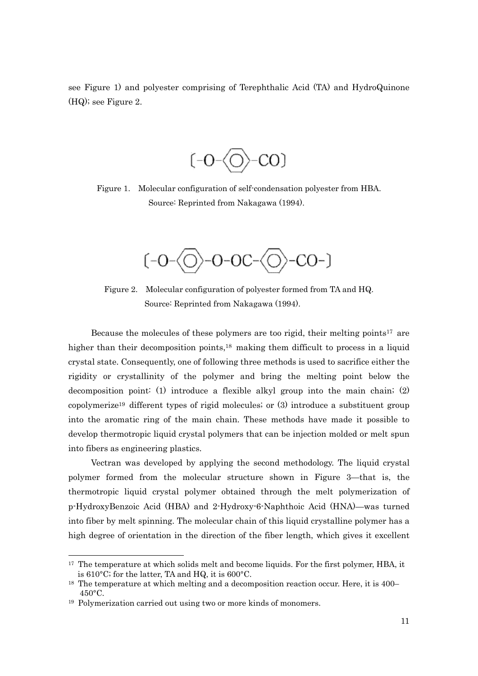see Figure 1) and polyester comprising of Terephthalic Acid (TA) and HydroQuinone (HQ); see Figure 2.



Figure 1. Molecular configuration of self-condensation polyester from HBA. Source: Reprinted from Nakagawa (1994).



Figure 2. Molecular configuration of polyester formed from TA and HQ. Source: Reprinted from Nakagawa (1994).

Because the molecules of these polymers are too rigid, their melting points<sup>17</sup> are higher than their decomposition points,<sup>18</sup> making them difficult to process in a liquid crystal state. Consequently, one of following three methods is used to sacrifice either the rigidity or crystallinity of the polymer and bring the melting point below the decomposition point: (1) introduce a flexible alkyl group into the main chain; (2) copolymerize19 different types of rigid molecules; or (3) introduce a substituent group into the aromatic ring of the main chain. These methods have made it possible to develop thermotropic liquid crystal polymers that can be injection molded or melt spun into fibers as engineering plastics.

Vectran was developed by applying the second methodology. The liquid crystal polymer formed from the molecular structure shown in Figure 3—that is, the thermotropic liquid crystal polymer obtained through the melt polymerization of p-HydroxyBenzoic Acid (HBA) and 2-Hydroxy-6-Naphthoic Acid (HNA)—was turned into fiber by melt spinning. The molecular chain of this liquid crystalline polymer has a high degree of orientation in the direction of the fiber length, which gives it excellent

<sup>&</sup>lt;sup>17</sup> The temperature at which solids melt and become liquids. For the first polymer, HBA, it is 610°C; for the latter, TA and HQ, it is 600°C.

<sup>&</sup>lt;sup>18</sup> The temperature at which melting and a decomposition reaction occur. Here, it is 400– 450°C.

<sup>19</sup> Polymerization carried out using two or more kinds of monomers.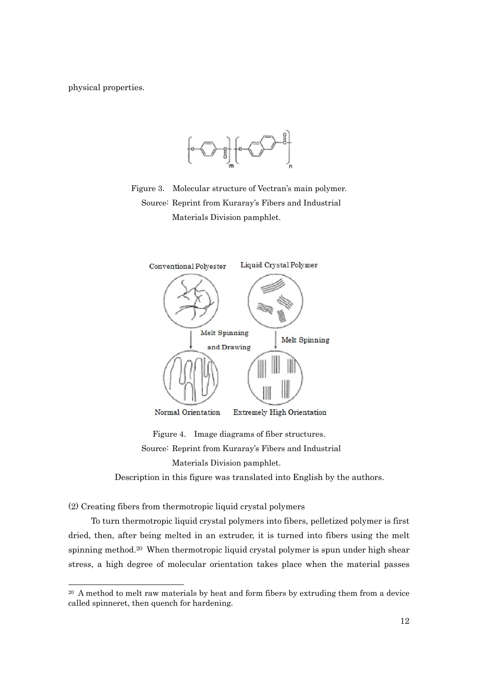physical properties.



Figure 3. Molecular structure of Vectran's main polymer. Source: Reprint from Kuraray's Fibers and Industrial Materials Division pamphlet.



Figure 4. Image diagrams of fiber structures. Source: Reprint from Kuraray's Fibers and Industrial Materials Division pamphlet.

Description in this figure was translated into English by the authors.

(2) Creating fibers from thermotropic liquid crystal polymers

-

To turn thermotropic liquid crystal polymers into fibers, pelletized polymer is first dried, then, after being melted in an extruder, it is turned into fibers using the melt spinning method.<sup>20</sup> When thermotropic liquid crystal polymer is spun under high shear stress, a high degree of molecular orientation takes place when the material passes

<sup>20</sup> A method to melt raw materials by heat and form fibers by extruding them from a device called spinneret, then quench for hardening.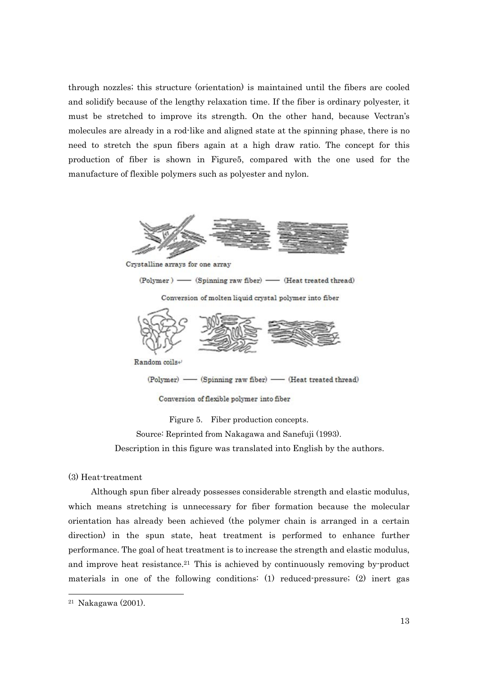through nozzles; this structure (orientation) is maintained until the fibers are cooled and solidify because of the lengthy relaxation time. If the fiber is ordinary polyester, it must be stretched to improve its strength. On the other hand, because Vectran's molecules are already in a rod-like and aligned state at the spinning phase, there is no need to stretch the spun fibers again at a high draw ratio. The concept for this production of fiber is shown in Figure5, compared with the one used for the manufacture of flexible polymers such as polyester and nylon.



Crystalline arrays for one array

(Polymer) - (Spinning raw fiber) - (Heat treated thread)

Conversion of molten liquid crystal polymer into fiber



Random coils+

- (Heat treated thread) - (Spinning raw fiber) -(Polymer) -

Conversion of flexible polymer into fiber

Figure 5. Fiber production concepts.

Source: Reprinted from Nakagawa and Sanefuji (1993).

Description in this figure was translated into English by the authors.

(3) Heat-treatment

Although spun fiber already possesses considerable strength and elastic modulus, which means stretching is unnecessary for fiber formation because the molecular orientation has already been achieved (the polymer chain is arranged in a certain direction) in the spun state, heat treatment is performed to enhance further performance. The goal of heat treatment is to increase the strength and elastic modulus, and improve heat resistance.<sup>21</sup> This is achieved by continuously removing by-product materials in one of the following conditions: (1) reduced-pressure; (2) inert gas

<sup>21</sup> Nakagawa (2001).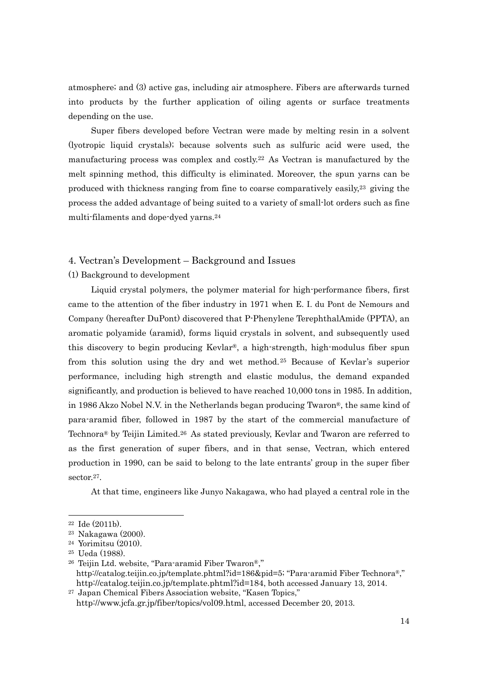atmosphere; and (3) active gas, including air atmosphere. Fibers are afterwards turned into products by the further application of oiling agents or surface treatments depending on the use.

Super fibers developed before Vectran were made by melting resin in a solvent (lyotropic liquid crystals); because solvents such as sulfuric acid were used, the manufacturing process was complex and costly.22 As Vectran is manufactured by the melt spinning method, this difficulty is eliminated. Moreover, the spun yarns can be produced with thickness ranging from fine to coarse comparatively easily,23 giving the process the added advantage of being suited to a variety of small-lot orders such as fine multi-filaments and dope-dyed yarns.24

### 4. Vectran's Development – Background and Issues

### (1) Background to development

Liquid crystal polymers, the polymer material for high-performance fibers, first came to the attention of the fiber industry in 1971 when E. I. du Pont de Nemours and Company (hereafter DuPont) discovered that P-Phenylene TerephthalAmide (PPTA), an aromatic polyamide (aramid), forms liquid crystals in solvent, and subsequently used this discovery to begin producing  $Kevlar^{\otimes}$ , a high-strength, high-modulus fiber spun from this solution using the dry and wet method.25 Because of Kevlar's superior performance, including high strength and elastic modulus, the demand expanded significantly, and production is believed to have reached 10,000 tons in 1985. In addition, in 1986 Akzo Nobel N.V. in the Netherlands began producing Twaron®, the same kind of para-aramid fiber, followed in 1987 by the start of the commercial manufacture of Technora® by Teijin Limited.26 As stated previously, Kevlar and Twaron are referred to as the first generation of super fibers, and in that sense, Vectran, which entered production in 1990, can be said to belong to the late entrants' group in the super fiber sector.<sup>27</sup>.

At that time, engineers like Junyo Nakagawa, who had played a central role in the

<sup>22</sup> Ide (2011b).

<sup>23</sup> Nakagawa (2000).

<sup>24</sup> Yorimitsu (2010).

<sup>25</sup> Ueda (1988).

<sup>26</sup> Teijin Ltd. website, "Para-aramid Fiber Twaron®," http://catalog.teijin.co.jp/template.phtml?id=186&pid=5; "Para-aramid Fiber Technora®," http://catalog.teijin.co.jp/template.phtml?id=184, both accessed January 13, 2014.

<sup>27</sup> Japan Chemical Fibers Association website, "Kasen Topics," http://www.jcfa.gr.jp/fiber/topics/vol09.html, accessed December 20, 2013.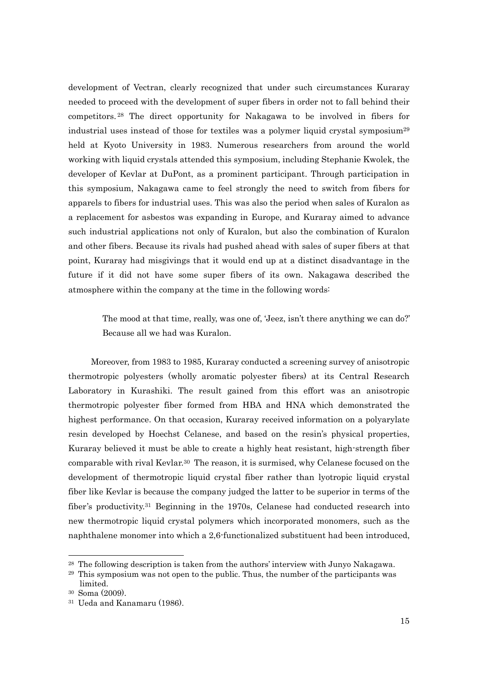development of Vectran, clearly recognized that under such circumstances Kuraray needed to proceed with the development of super fibers in order not to fall behind their competitors. 28 The direct opportunity for Nakagawa to be involved in fibers for industrial uses instead of those for textiles was a polymer liquid crystal symposium<sup>29</sup> held at Kyoto University in 1983. Numerous researchers from around the world working with liquid crystals attended this symposium, including Stephanie Kwolek, the developer of Kevlar at DuPont, as a prominent participant. Through participation in this symposium, Nakagawa came to feel strongly the need to switch from fibers for apparels to fibers for industrial uses. This was also the period when sales of Kuralon as a replacement for asbestos was expanding in Europe, and Kuraray aimed to advance such industrial applications not only of Kuralon, but also the combination of Kuralon and other fibers. Because its rivals had pushed ahead with sales of super fibers at that point, Kuraray had misgivings that it would end up at a distinct disadvantage in the future if it did not have some super fibers of its own. Nakagawa described the atmosphere within the company at the time in the following words:

The mood at that time, really, was one of, 'Jeez, isn't there anything we can do?' Because all we had was Kuralon.

Moreover, from 1983 to 1985, Kuraray conducted a screening survey of anisotropic thermotropic polyesters (wholly aromatic polyester fibers) at its Central Research Laboratory in Kurashiki. The result gained from this effort was an anisotropic thermotropic polyester fiber formed from HBA and HNA which demonstrated the highest performance. On that occasion, Kuraray received information on a polyarylate resin developed by Hoechst Celanese, and based on the resin's physical properties, Kuraray believed it must be able to create a highly heat resistant, high-strength fiber comparable with rival Kevlar.30 The reason, it is surmised, why Celanese focused on the development of thermotropic liquid crystal fiber rather than lyotropic liquid crystal fiber like Kevlar is because the company judged the latter to be superior in terms of the fiber's productivity.<sup>31</sup> Beginning in the 1970s, Celanese had conducted research into new thermotropic liquid crystal polymers which incorporated monomers, such as the naphthalene monomer into which a 2,6-functionalized substituent had been introduced,

<sup>28</sup> The following description is taken from the authors' interview with Junyo Nakagawa.

<sup>&</sup>lt;sup>29</sup> This symposium was not open to the public. Thus, the number of the participants was limited.

<sup>30</sup> Soma (2009).

<sup>31</sup> Ueda and Kanamaru (1986).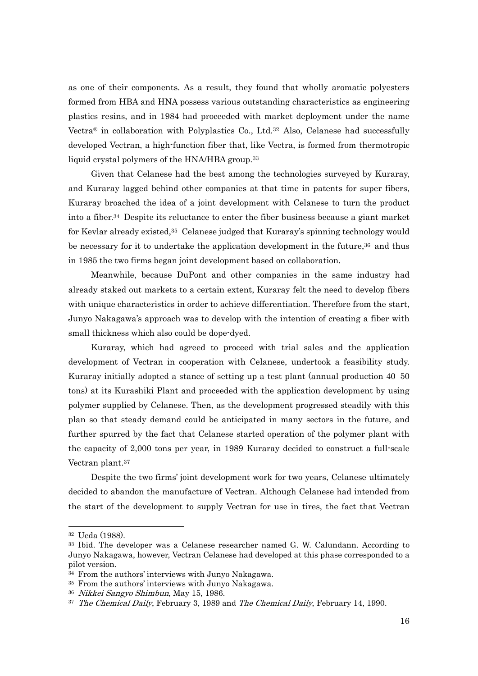as one of their components. As a result, they found that wholly aromatic polyesters formed from HBA and HNA possess various outstanding characteristics as engineering plastics resins, and in 1984 had proceeded with market deployment under the name Vectra<sup>®</sup> in collaboration with Polyplastics Co., Ltd.<sup>32</sup> Also, Celanese had successfully developed Vectran, a high-function fiber that, like Vectra, is formed from thermotropic liquid crystal polymers of the HNA/HBA group.33

Given that Celanese had the best among the technologies surveyed by Kuraray, and Kuraray lagged behind other companies at that time in patents for super fibers, Kuraray broached the idea of a joint development with Celanese to turn the product into a fiber.34 Despite its reluctance to enter the fiber business because a giant market for Kevlar already existed,<sup>35</sup> Celanese judged that Kuraray's spinning technology would be necessary for it to undertake the application development in the future, $36$  and thus in 1985 the two firms began joint development based on collaboration.

Meanwhile, because DuPont and other companies in the same industry had already staked out markets to a certain extent, Kuraray felt the need to develop fibers with unique characteristics in order to achieve differentiation. Therefore from the start, Junyo Nakagawa's approach was to develop with the intention of creating a fiber with small thickness which also could be dope-dyed.

Kuraray, which had agreed to proceed with trial sales and the application development of Vectran in cooperation with Celanese, undertook a feasibility study. Kuraray initially adopted a stance of setting up a test plant (annual production 40–50 tons) at its Kurashiki Plant and proceeded with the application development by using polymer supplied by Celanese. Then, as the development progressed steadily with this plan so that steady demand could be anticipated in many sectors in the future, and further spurred by the fact that Celanese started operation of the polymer plant with the capacity of 2,000 tons per year, in 1989 Kuraray decided to construct a full-scale Vectran plant.37

Despite the two firms' joint development work for two years, Celanese ultimately decided to abandon the manufacture of Vectran. Although Celanese had intended from the start of the development to supply Vectran for use in tires, the fact that Vectran

<sup>32</sup> Ueda (1988).

<sup>33</sup> Ibid. The developer was a Celanese researcher named G. W. Calundann. According to Junyo Nakagawa, however, Vectran Celanese had developed at this phase corresponded to a pilot version.

<sup>34</sup> From the authors' interviews with Junyo Nakagawa.

<sup>35</sup> From the authors' interviews with Junyo Nakagawa.

<sup>36</sup> Nikkei Sangyo Shimbun, May 15, 1986.

<sup>&</sup>lt;sup>37</sup> The Chemical Daily, February 3, 1989 and The Chemical Daily, February 14, 1990.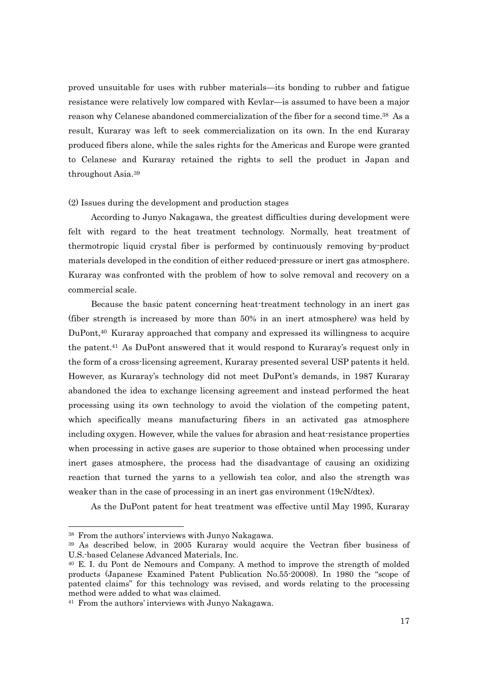proved unsuitable for uses with rubber materials—its bonding to rubber and fatigue resistance were relatively low compared with Kevlar—is assumed to have been a major reason why Celanese abandoned commercialization of the fiber for a second time.<sup>38</sup> As a result, Kuraray was left to seek commercialization on its own. In the end Kuraray produced fibers alone, while the sales rights for the Americas and Europe were granted to Celanese and Kuraray retained the rights to sell the product in Japan and throughout Asia.39

### (2) Issues during the development and production stages

According to Junyo Nakagawa, the greatest difficulties during development were felt with regard to the heat treatment technology. Normally, heat treatment of thermotropic liquid crystal fiber is performed by continuously removing by-product materials developed in the condition of either reduced-pressure or inert gas atmosphere. Kuraray was confronted with the problem of how to solve removal and recovery on a commercial scale.

Because the basic patent concerning heat-treatment technology in an inert gas (fiber strength is increased by more than 50% in an inert atmosphere) was held by DuPont,40 Kuraray approached that company and expressed its willingness to acquire the patent.41 As DuPont answered that it would respond to Kuraray's request only in the form of a cross-licensing agreement, Kuraray presented several USP patents it held. However, as Kuraray's technology did not meet DuPont's demands, in 1987 Kuraray abandoned the idea to exchange licensing agreement and instead performed the heat processing using its own technology to avoid the violation of the competing patent, which specifically means manufacturing fibers in an activated gas atmosphere including oxygen. However, while the values for abrasion and heat-resistance properties when processing in active gases are superior to those obtained when processing under inert gases atmosphere, the process had the disadvantage of causing an oxidizing reaction that turned the yarns to a yellowish tea color, and also the strength was weaker than in the case of processing in an inert gas environment (19cN/dtex).

As the DuPont patent for heat treatment was effective until May 1995, Kuraray

<sup>38</sup> From the authors' interviews with Junyo Nakagawa.

<sup>39</sup> As described below, in 2005 Kuraray would acquire the Vectran fiber business of U.S.-based Celanese Advanced Materials, Inc.

<sup>40</sup> E. I. du Pont de Nemours and Company. A method to improve the strength of molded products (Japanese Examined Patent Publication No.55-20008). In 1980 the "scope of patented claims" for this technology was revised, and words relating to the processing method were added to what was claimed.

<sup>41</sup> From the authors' interviews with Junyo Nakagawa.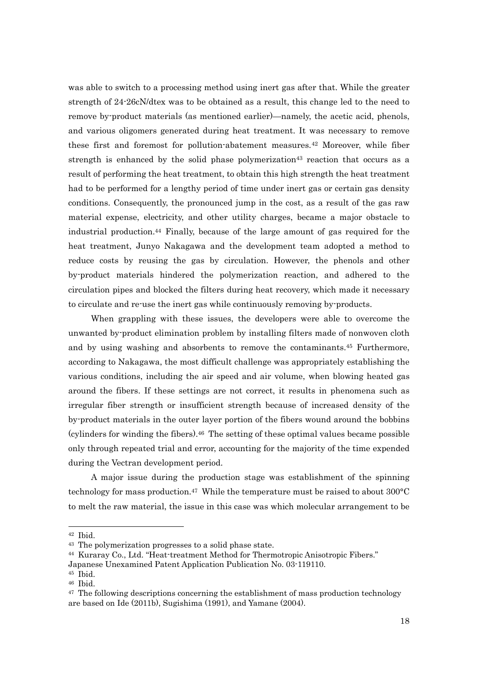was able to switch to a processing method using inert gas after that. While the greater strength of 24-26cN/dtex was to be obtained as a result, this change led to the need to remove by-product materials (as mentioned earlier)—namely, the acetic acid, phenols, and various oligomers generated during heat treatment. It was necessary to remove these first and foremost for pollution-abatement measures.<sup>42</sup> Moreover, while fiber strength is enhanced by the solid phase polymerization<sup>43</sup> reaction that occurs as a result of performing the heat treatment, to obtain this high strength the heat treatment had to be performed for a lengthy period of time under inert gas or certain gas density conditions. Consequently, the pronounced jump in the cost, as a result of the gas raw material expense, electricity, and other utility charges, became a major obstacle to industrial production.44 Finally, because of the large amount of gas required for the heat treatment, Junyo Nakagawa and the development team adopted a method to reduce costs by reusing the gas by circulation. However, the phenols and other by-product materials hindered the polymerization reaction, and adhered to the circulation pipes and blocked the filters during heat recovery, which made it necessary to circulate and re-use the inert gas while continuously removing by-products.

When grappling with these issues, the developers were able to overcome the unwanted by-product elimination problem by installing filters made of nonwoven cloth and by using washing and absorbents to remove the contaminants.45 Furthermore, according to Nakagawa, the most difficult challenge was appropriately establishing the various conditions, including the air speed and air volume, when blowing heated gas around the fibers. If these settings are not correct, it results in phenomena such as irregular fiber strength or insufficient strength because of increased density of the by-product materials in the outer layer portion of the fibers wound around the bobbins (cylinders for winding the fibers).46 The setting of these optimal values became possible only through repeated trial and error, accounting for the majority of the time expended during the Vectran development period.

A major issue during the production stage was establishment of the spinning technology for mass production.<sup>47</sup> While the temperature must be raised to about  $300^{\circ}$ C to melt the raw material, the issue in this case was which molecular arrangement to be

<sup>42</sup> Ibid.

<sup>43</sup> The polymerization progresses to a solid phase state.

<sup>44</sup> Kuraray Co., Ltd. "Heat-treatment Method for Thermotropic Anisotropic Fibers."

Japanese Unexamined Patent Application Publication No. 03-119110.

<sup>45</sup> Ibid.

<sup>46</sup> Ibid.

 $47$  The following descriptions concerning the establishment of mass production technology are based on Ide (2011b), Sugishima (1991), and Yamane (2004).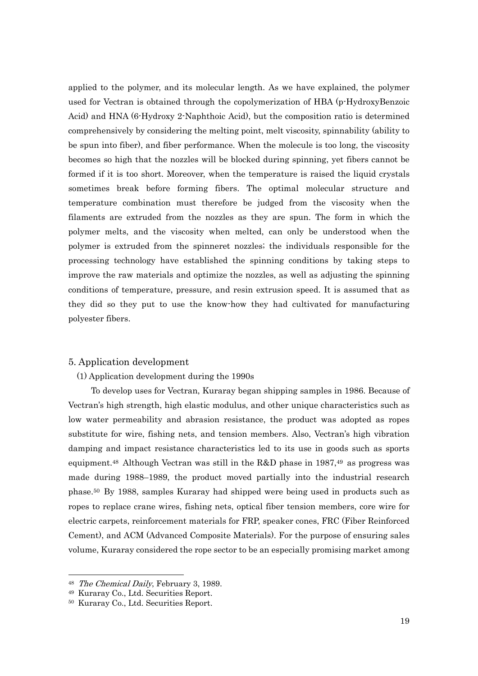applied to the polymer, and its molecular length. As we have explained, the polymer used for Vectran is obtained through the copolymerization of HBA (p-HydroxyBenzoic Acid) and HNA (6-Hydroxy 2-Naphthoic Acid), but the composition ratio is determined comprehensively by considering the melting point, melt viscosity, spinnability (ability to be spun into fiber), and fiber performance. When the molecule is too long, the viscosity becomes so high that the nozzles will be blocked during spinning, yet fibers cannot be formed if it is too short. Moreover, when the temperature is raised the liquid crystals sometimes break before forming fibers. The optimal molecular structure and temperature combination must therefore be judged from the viscosity when the filaments are extruded from the nozzles as they are spun. The form in which the polymer melts, and the viscosity when melted, can only be understood when the polymer is extruded from the spinneret nozzles; the individuals responsible for the processing technology have established the spinning conditions by taking steps to improve the raw materials and optimize the nozzles, as well as adjusting the spinning conditions of temperature, pressure, and resin extrusion speed. It is assumed that as they did so they put to use the know-how they had cultivated for manufacturing polyester fibers.

#### 5. Application development

### (1) Application development during the 1990s

To develop uses for Vectran, Kuraray began shipping samples in 1986. Because of Vectran's high strength, high elastic modulus, and other unique characteristics such as low water permeability and abrasion resistance, the product was adopted as ropes substitute for wire, fishing nets, and tension members. Also, Vectran's high vibration damping and impact resistance characteristics led to its use in goods such as sports equipment.<sup>48</sup> Although Vectran was still in the R&D phase in  $1987,49$  as progress was made during 1988–1989, the product moved partially into the industrial research phase.50 By 1988, samples Kuraray had shipped were being used in products such as ropes to replace crane wires, fishing nets, optical fiber tension members, core wire for electric carpets, reinforcement materials for FRP, speaker cones, FRC (Fiber Reinforced Cement), and ACM (Advanced Composite Materials). For the purpose of ensuring sales volume, Kuraray considered the rope sector to be an especially promising market among

<sup>&</sup>lt;sup>48</sup> The Chemical Daily, February 3, 1989.

<sup>49</sup> Kuraray Co., Ltd. Securities Report.

<sup>50</sup> Kuraray Co., Ltd. Securities Report.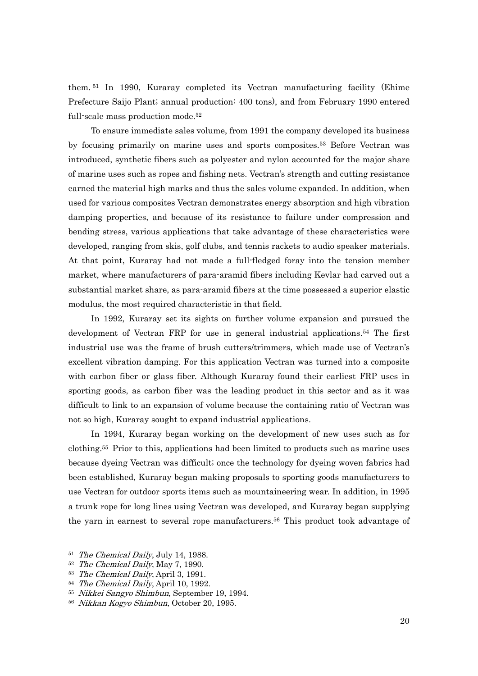them. 51 In 1990, Kuraray completed its Vectran manufacturing facility (Ehime Prefecture Saijo Plant; annual production: 400 tons), and from February 1990 entered full-scale mass production mode.52

To ensure immediate sales volume, from 1991 the company developed its business by focusing primarily on marine uses and sports composites.53 Before Vectran was introduced, synthetic fibers such as polyester and nylon accounted for the major share of marine uses such as ropes and fishing nets. Vectran's strength and cutting resistance earned the material high marks and thus the sales volume expanded. In addition, when used for various composites Vectran demonstrates energy absorption and high vibration damping properties, and because of its resistance to failure under compression and bending stress, various applications that take advantage of these characteristics were developed, ranging from skis, golf clubs, and tennis rackets to audio speaker materials. At that point, Kuraray had not made a full-fledged foray into the tension member market, where manufacturers of para-aramid fibers including Kevlar had carved out a substantial market share, as para-aramid fibers at the time possessed a superior elastic modulus, the most required characteristic in that field.

In 1992, Kuraray set its sights on further volume expansion and pursued the development of Vectran FRP for use in general industrial applications.54 The first industrial use was the frame of brush cutters/trimmers, which made use of Vectran's excellent vibration damping. For this application Vectran was turned into a composite with carbon fiber or glass fiber. Although Kuraray found their earliest FRP uses in sporting goods, as carbon fiber was the leading product in this sector and as it was difficult to link to an expansion of volume because the containing ratio of Vectran was not so high, Kuraray sought to expand industrial applications.

In 1994, Kuraray began working on the development of new uses such as for clothing.55 Prior to this, applications had been limited to products such as marine uses because dyeing Vectran was difficult; once the technology for dyeing woven fabrics had been established, Kuraray began making proposals to sporting goods manufacturers to use Vectran for outdoor sports items such as mountaineering wear. In addition, in 1995 a trunk rope for long lines using Vectran was developed, and Kuraray began supplying the yarn in earnest to several rope manufacturers.56 This product took advantage of

<sup>&</sup>lt;sup>51</sup> The Chemical Daily, July 14, 1988.

<sup>52</sup> The Chemical Daily, May 7, 1990.

<sup>53</sup> The Chemical Daily, April 3, 1991.

<sup>&</sup>lt;sup>54</sup> The Chemical Daily, April 10, 1992.

<sup>&</sup>lt;sup>55</sup> Nikkei Sangyo Shimbun, September 19, 1994.

<sup>56</sup> Nikkan Kogyo Shimbun, October 20, 1995.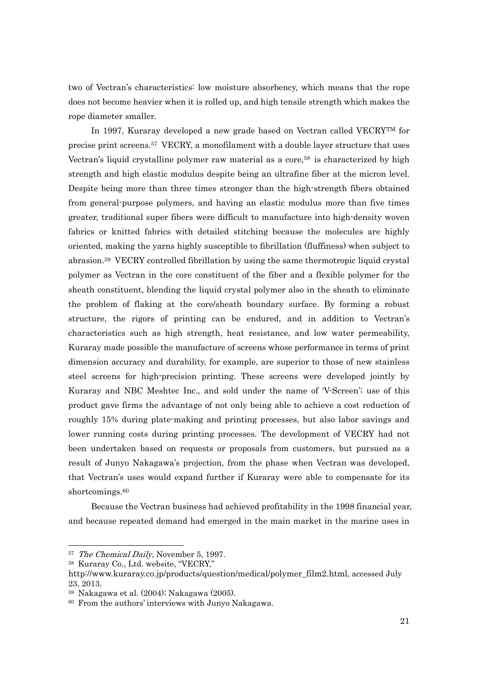two of Vectran's characteristics: low moisture absorbency, which means that the rope does not become heavier when it is rolled up, and high tensile strength which makes the rope diameter smaller.

In 1997, Kuraray developed a new grade based on Vectran called VECRYTM for precise print screens.57 VECRY, a monofilament with a double layer structure that uses Vectran's liquid crystalline polymer raw material as a core,<sup>58</sup> is characterized by high strength and high elastic modulus despite being an ultrafine fiber at the micron level. Despite being more than three times stronger than the high-strength fibers obtained from general-purpose polymers, and having an elastic modulus more than five times greater, traditional super fibers were difficult to manufacture into high-density woven fabrics or knitted fabrics with detailed stitching because the molecules are highly oriented, making the yarns highly susceptible to fibrillation (fluffiness) when subject to abrasion.59 VECRY controlled fibrillation by using the same thermotropic liquid crystal polymer as Vectran in the core constituent of the fiber and a flexible polymer for the sheath constituent, blending the liquid crystal polymer also in the sheath to eliminate the problem of flaking at the core/sheath boundary surface. By forming a robust structure, the rigors of printing can be endured, and in addition to Vectran's characteristics such as high strength, heat resistance, and low water permeability, Kuraray made possible the manufacture of screens whose performance in terms of print dimension accuracy and durability, for example, are superior to those of new stainless steel screens for high-precision printing. These screens were developed jointly by Kuraray and NBC Meshtec Inc., and sold under the name of 'V-Screen'; use of this product gave firms the advantage of not only being able to achieve a cost reduction of roughly 15% during plate-making and printing processes, but also labor savings and lower running costs during printing processes. The development of VECRY had not been undertaken based on requests or proposals from customers, but pursued as a result of Junyo Nakagawa's projection, from the phase when Vectran was developed, that Vectran's uses would expand further if Kuraray were able to compensate for its shortcomings.<sup>60</sup>

Because the Vectran business had achieved profitability in the 1998 financial year, and because repeated demand had emerged in the main market in the marine uses in

<sup>&</sup>lt;sup>57</sup> The Chemical Daily, November 5, 1997.

<sup>58</sup> Kuraray Co., Ltd. website, "VECRY,"

http://www.kuraray.co.jp/products/question/medical/polymer\_film2.html, accessed July 23, 2013.

<sup>59</sup> Nakagawa et al. (2004); Nakagawa (2005).

<sup>60</sup> From the authors' interviews with Junyo Nakagawa.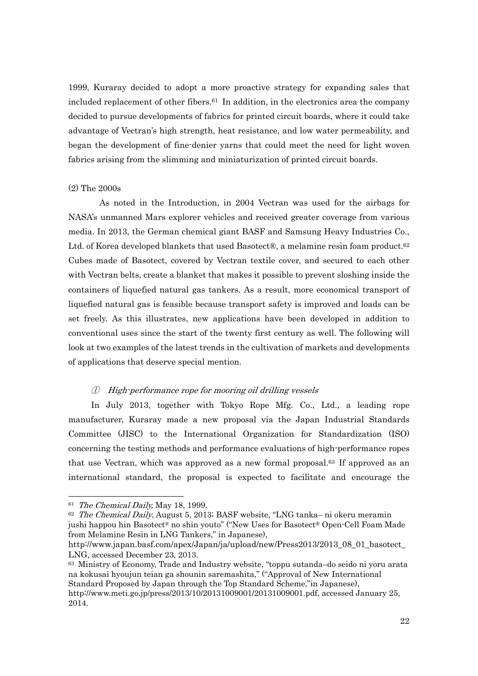1999, Kuraray decided to adopt a more proactive strategy for expanding sales that included replacement of other fibers.61 In addition, in the electronics area the company decided to pursue developments of fabrics for printed circuit boards, where it could take advantage of Vectran's high strength, heat resistance, and low water permeability, and began the development of fine-denier yarns that could meet the need for light woven fabrics arising from the slimming and miniaturization of printed circuit boards.

### (2) The 2000s

As noted in the Introduction, in 2004 Vectran was used for the airbags for NASA's unmanned Mars explorer vehicles and received greater coverage from various media. In 2013, the German chemical giant BASF and Samsung Heavy Industries Co., Ltd. of Korea developed blankets that used Basotect®, a melamine resin foam product.<sup>62</sup> Cubes made of Basotect, covered by Vectran textile cover, and secured to each other with Vectran belts, create a blanket that makes it possible to prevent sloshing inside the containers of liquefied natural gas tankers. As a result, more economical transport of liquefied natural gas is feasible because transport safety is improved and loads can be set freely. As this illustrates, new applications have been developed in addition to conventional uses since the start of the twenty first century as well. The following will look at two examples of the latest trends in the cultivation of markets and developments of applications that deserve special mention.

### ① High-performance rope for mooring oil drilling vessels

In July 2013, together with Tokyo Rope Mfg. Co., Ltd., a leading rope manufacturer, Kuraray made a new proposal via the Japan Industrial Standards Committee (JISC) to the International Organization for Standardization (ISO) concerning the testing methods and performance evaluations of high-performance ropes that use Vectran, which was approved as a new formal proposal.<sup>63</sup> If approved as an international standard, the proposal is expected to facilitate and encourage the

<sup>&</sup>lt;sup>61</sup> The Chemical Daily, May 18, 1999.

 $62$  The Chemical Daily, August 5, 2013; BASF website, "LNG tanka– ni okeru meramin jushi happou hin Basotect® no shin youto" ("New Uses for Basotect® Open-Cell Foam Made from Melamine Resin in LNG Tankers," in Japanese),

http://www.japan.basf.com/apex/Japan/ja/upload/new/Press2013/2013 08 01 basotect LNG, accessed December 23, 2013.

<sup>63</sup> Ministry of Economy, Trade and Industry website, "toppu sutanda–do seido ni yoru arata na kokusai hyoujun teian ga shounin saremashita," ("Approval of New International Standard Proposed by Japan through the Top Standard Scheme,"in Japanese),

http://www.meti.go.jp/press/2013/10/20131009001/20131009001.pdf, accessed January 25, 2014.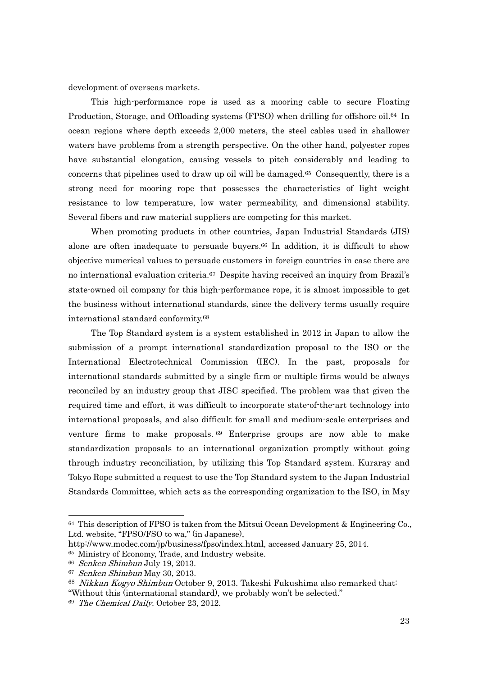development of overseas markets.

This high-performance rope is used as a mooring cable to secure Floating Production, Storage, and Offloading systems (FPSO) when drilling for offshore oil.<sup>64</sup> In ocean regions where depth exceeds 2,000 meters, the steel cables used in shallower waters have problems from a strength perspective. On the other hand, polyester ropes have substantial elongation, causing vessels to pitch considerably and leading to concerns that pipelines used to draw up oil will be damaged.65 Consequently, there is a strong need for mooring rope that possesses the characteristics of light weight resistance to low temperature, low water permeability, and dimensional stability. Several fibers and raw material suppliers are competing for this market.

When promoting products in other countries, Japan Industrial Standards (JIS) alone are often inadequate to persuade buyers.<sup>66</sup> In addition, it is difficult to show objective numerical values to persuade customers in foreign countries in case there are no international evaluation criteria.67 Despite having received an inquiry from Brazil's state-owned oil company for this high-performance rope, it is almost impossible to get the business without international standards, since the delivery terms usually require international standard conformity.68

The Top Standard system is a system established in 2012 in Japan to allow the submission of a prompt international standardization proposal to the ISO or the International Electrotechnical Commission (IEC). In the past, proposals for international standards submitted by a single firm or multiple firms would be always reconciled by an industry group that JISC specified. The problem was that given the required time and effort, it was difficult to incorporate state-of-the-art technology into international proposals, and also difficult for small and medium-scale enterprises and venture firms to make proposals. 69 Enterprise groups are now able to make standardization proposals to an international organization promptly without going through industry reconciliation, by utilizing this Top Standard system. Kuraray and Tokyo Rope submitted a request to use the Top Standard system to the Japan Industrial Standards Committee, which acts as the corresponding organization to the ISO, in May

 $64$  This description of FPSO is taken from the Mitsui Ocean Development & Engineering Co. Ltd. website, "FPSO/FSO to wa," (in Japanese),

http://www.modec.com/jp/business/fpso/index.html, accessed January 25, 2014.

<sup>65</sup> Ministry of Economy, Trade, and Industry website.

<sup>66</sup> Senken Shimbun July 19, 2013.

<sup>67</sup> Senken Shimbun May 30, 2013.

<sup>&</sup>lt;sup>68</sup> Nikkan Kogyo Shimbun October 9, 2013. Takeshi Fukushima also remarked that: "Without this (international standard), we probably won't be selected."

<sup>69</sup> The Chemical Daily. October 23, 2012.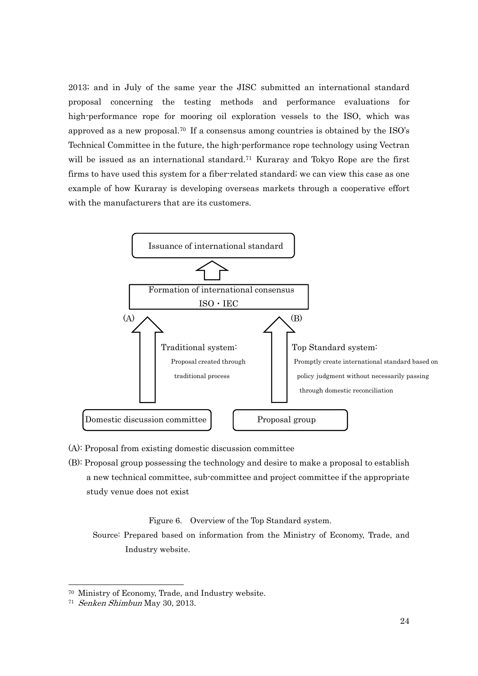2013; and in July of the same year the JISC submitted an international standard proposal concerning the testing methods and performance evaluations for high-performance rope for mooring oil exploration vessels to the ISO, which was approved as a new proposal.70 If a consensus among countries is obtained by the ISO's Technical Committee in the future, the high-performance rope technology using Vectran will be issued as an international standard.<sup>71</sup> Kuraray and Tokyo Rope are the first firms to have used this system for a fiber-related standard; we can view this case as one example of how Kuraray is developing overseas markets through a cooperative effort with the manufacturers that are its customers.



- (A): Proposal from existing domestic discussion committee
- (B): Proposal group possessing the technology and desire to make a proposal to establish a new technical committee, sub-committee and project committee if the appropriate study venue does not exist

Figure 6. Overview of the Top Standard system.

 Source: Prepared based on information from the Ministry of Economy, Trade, and Industry website.

<sup>70</sup> Ministry of Economy, Trade, and Industry website.

<sup>71</sup> Senken Shimbun May 30, 2013.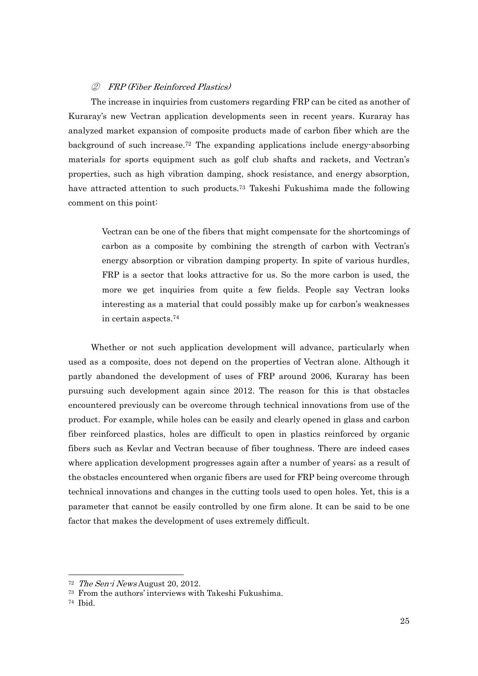#### ② FRP (Fiber Reinforced Plastics)

The increase in inquiries from customers regarding FRP can be cited as another of Kuraray's new Vectran application developments seen in recent years. Kuraray has analyzed market expansion of composite products made of carbon fiber which are the background of such increase.<sup>72</sup> The expanding applications include energy-absorbing materials for sports equipment such as golf club shafts and rackets, and Vectran's properties, such as high vibration damping, shock resistance, and energy absorption, have attracted attention to such products.73 Takeshi Fukushima made the following comment on this point:

Vectran can be one of the fibers that might compensate for the shortcomings of carbon as a composite by combining the strength of carbon with Vectran's energy absorption or vibration damping property. In spite of various hurdles, FRP is a sector that looks attractive for us. So the more carbon is used, the more we get inquiries from quite a few fields. People say Vectran looks interesting as a material that could possibly make up for carbon's weaknesses in certain aspects.74

Whether or not such application development will advance, particularly when used as a composite, does not depend on the properties of Vectran alone. Although it partly abandoned the development of uses of FRP around 2006, Kuraray has been pursuing such development again since 2012. The reason for this is that obstacles encountered previously can be overcome through technical innovations from use of the product. For example, while holes can be easily and clearly opened in glass and carbon fiber reinforced plastics, holes are difficult to open in plastics reinforced by organic fibers such as Kevlar and Vectran because of fiber toughness. There are indeed cases where application development progresses again after a number of years; as a result of the obstacles encountered when organic fibers are used for FRP being overcome through technical innovations and changes in the cutting tools used to open holes. Yet, this is a parameter that cannot be easily controlled by one firm alone. It can be said to be one factor that makes the development of uses extremely difficult.

<sup>72</sup> The Sen-i News August 20, 2012.

<sup>73</sup> From the authors' interviews with Takeshi Fukushima.

<sup>74</sup> Ibid.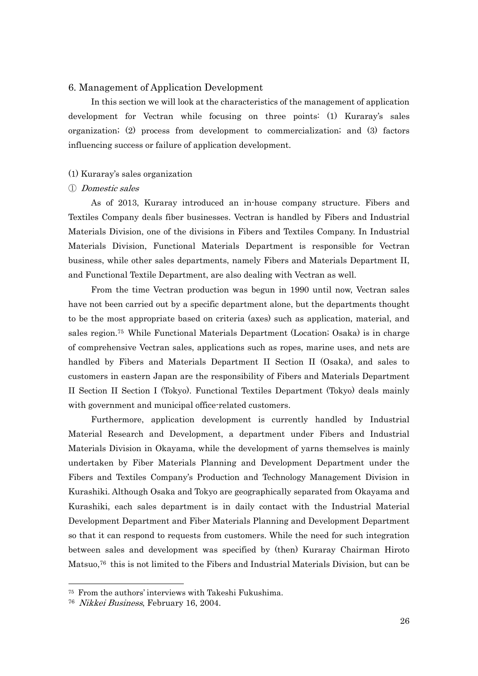### 6. Management of Application Development

In this section we will look at the characteristics of the management of application development for Vectran while focusing on three points: (1) Kuraray's sales organization; (2) process from development to commercialization; and (3) factors influencing success or failure of application development.

### (1) Kuraray's sales organization

### ① Domestic sales

As of 2013, Kuraray introduced an in-house company structure. Fibers and Textiles Company deals fiber businesses. Vectran is handled by Fibers and Industrial Materials Division, one of the divisions in Fibers and Textiles Company. In Industrial Materials Division, Functional Materials Department is responsible for Vectran business, while other sales departments, namely Fibers and Materials Department II, and Functional Textile Department, are also dealing with Vectran as well.

From the time Vectran production was begun in 1990 until now, Vectran sales have not been carried out by a specific department alone, but the departments thought to be the most appropriate based on criteria (axes) such as application, material, and sales region.75 While Functional Materials Department (Location; Osaka) is in charge of comprehensive Vectran sales, applications such as ropes, marine uses, and nets are handled by Fibers and Materials Department II Section II (Osaka), and sales to customers in eastern Japan are the responsibility of Fibers and Materials Department II Section II Section I (Tokyo). Functional Textiles Department (Tokyo) deals mainly with government and municipal office-related customers.

Furthermore, application development is currently handled by Industrial Material Research and Development, a department under Fibers and Industrial Materials Division in Okayama, while the development of yarns themselves is mainly undertaken by Fiber Materials Planning and Development Department under the Fibers and Textiles Company's Production and Technology Management Division in Kurashiki. Although Osaka and Tokyo are geographically separated from Okayama and Kurashiki, each sales department is in daily contact with the Industrial Material Development Department and Fiber Materials Planning and Development Department so that it can respond to requests from customers. While the need for such integration between sales and development was specified by (then) Kuraray Chairman Hiroto Matsuo,76 this is not limited to the Fibers and Industrial Materials Division, but can be

1

<sup>75</sup> From the authors' interviews with Takeshi Fukushima.

<sup>76</sup> Nikkei Business, February 16, 2004.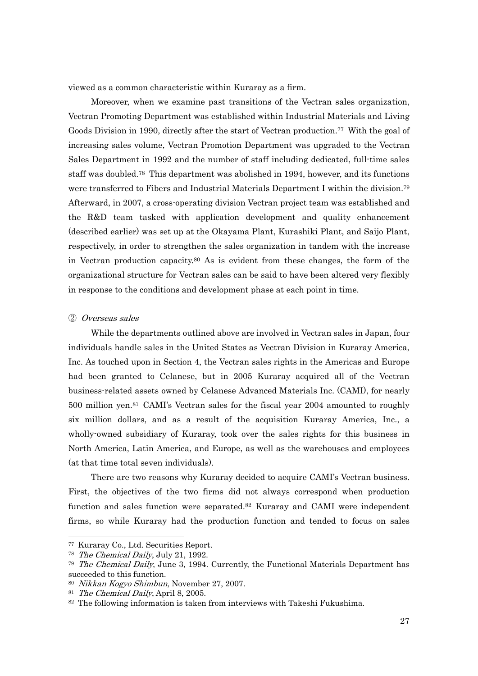viewed as a common characteristic within Kuraray as a firm.

Moreover, when we examine past transitions of the Vectran sales organization, Vectran Promoting Department was established within Industrial Materials and Living Goods Division in 1990, directly after the start of Vectran production.77 With the goal of increasing sales volume, Vectran Promotion Department was upgraded to the Vectran Sales Department in 1992 and the number of staff including dedicated, full-time sales staff was doubled.78 This department was abolished in 1994, however, and its functions were transferred to Fibers and Industrial Materials Department I within the division.79 Afterward, in 2007, a cross-operating division Vectran project team was established and the R&D team tasked with application development and quality enhancement (described earlier) was set up at the Okayama Plant, Kurashiki Plant, and Saijo Plant, respectively, in order to strengthen the sales organization in tandem with the increase in Vectran production capacity.80 As is evident from these changes, the form of the organizational structure for Vectran sales can be said to have been altered very flexibly in response to the conditions and development phase at each point in time.

#### ② Overseas sales

While the departments outlined above are involved in Vectran sales in Japan, four individuals handle sales in the United States as Vectran Division in Kuraray America, Inc. As touched upon in Section 4, the Vectran sales rights in the Americas and Europe had been granted to Celanese, but in 2005 Kuraray acquired all of the Vectran business-related assets owned by Celanese Advanced Materials Inc. (CAMI), for nearly 500 million yen.81 CAMI's Vectran sales for the fiscal year 2004 amounted to roughly six million dollars, and as a result of the acquisition Kuraray America, Inc., a wholly-owned subsidiary of Kuraray, took over the sales rights for this business in North America, Latin America, and Europe, as well as the warehouses and employees (at that time total seven individuals).

There are two reasons why Kuraray decided to acquire CAMI's Vectran business. First, the objectives of the two firms did not always correspond when production function and sales function were separated.82 Kuraray and CAMI were independent firms, so while Kuraray had the production function and tended to focus on sales

<sup>77</sup> Kuraray Co., Ltd. Securities Report.

<sup>78</sup> The Chemical Daily, July 21, 1992.

 $79$  The Chemical Daily, June 3, 1994. Currently, the Functional Materials Department has succeeded to this function.

<sup>80</sup> Nikkan Kogyo Shimbun, November 27, 2007.

<sup>&</sup>lt;sup>81</sup> The Chemical Daily, April 8, 2005.

<sup>82</sup> The following information is taken from interviews with Takeshi Fukushima.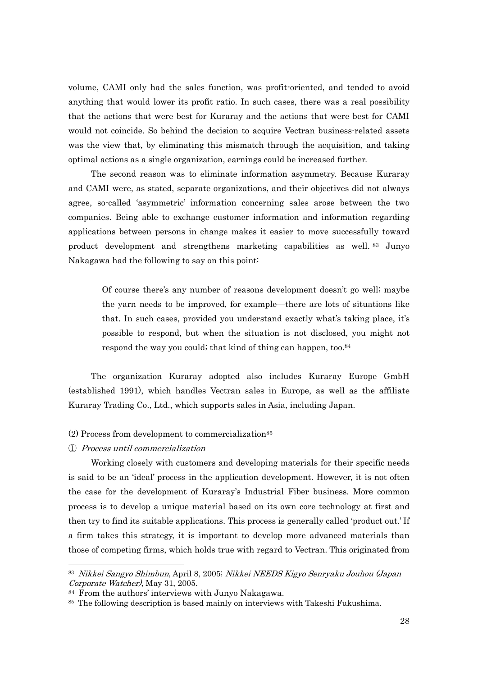volume, CAMI only had the sales function, was profit-oriented, and tended to avoid anything that would lower its profit ratio. In such cases, there was a real possibility that the actions that were best for Kuraray and the actions that were best for CAMI would not coincide. So behind the decision to acquire Vectran business-related assets was the view that, by eliminating this mismatch through the acquisition, and taking optimal actions as a single organization, earnings could be increased further.

The second reason was to eliminate information asymmetry. Because Kuraray and CAMI were, as stated, separate organizations, and their objectives did not always agree, so-called 'asymmetric' information concerning sales arose between the two companies. Being able to exchange customer information and information regarding applications between persons in change makes it easier to move successfully toward product development and strengthens marketing capabilities as well. 83 Junyo Nakagawa had the following to say on this point:

 Of course there's any number of reasons development doesn't go well; maybe the yarn needs to be improved, for example—there are lots of situations like that. In such cases, provided you understand exactly what's taking place, it's possible to respond, but when the situation is not disclosed, you might not respond the way you could; that kind of thing can happen, too.<sup>84</sup>

The organization Kuraray adopted also includes Kuraray Europe GmbH (established 1991), which handles Vectran sales in Europe, as well as the affiliate Kuraray Trading Co., Ltd., which supports sales in Asia, including Japan.

- $(2)$  Process from development to commercialization<sup>85</sup>
- ① Process until commercialization

-

Working closely with customers and developing materials for their specific needs is said to be an 'ideal' process in the application development. However, it is not often the case for the development of Kuraray's Industrial Fiber business. More common process is to develop a unique material based on its own core technology at first and then try to find its suitable applications. This process is generally called 'product out.' If a firm takes this strategy, it is important to develop more advanced materials than those of competing firms, which holds true with regard to Vectran. This originated from

<sup>83</sup> Nikkei Sangyo Shimbun, April 8, 2005; Nikkei NEEDS Kigyo Senryaku Jouhou (Japan Corporate Watcher), May 31, 2005.

<sup>84</sup> From the authors' interviews with Junyo Nakagawa.

<sup>85</sup> The following description is based mainly on interviews with Takeshi Fukushima.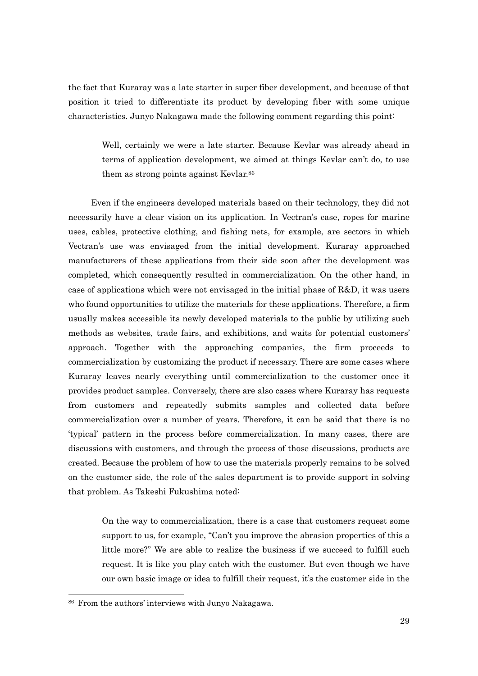the fact that Kuraray was a late starter in super fiber development, and because of that position it tried to differentiate its product by developing fiber with some unique characteristics. Junyo Nakagawa made the following comment regarding this point:

 Well, certainly we were a late starter. Because Kevlar was already ahead in terms of application development, we aimed at things Kevlar can't do, to use them as strong points against Kevlar.<sup>86</sup>

Even if the engineers developed materials based on their technology, they did not necessarily have a clear vision on its application. In Vectran's case, ropes for marine uses, cables, protective clothing, and fishing nets, for example, are sectors in which Vectran's use was envisaged from the initial development. Kuraray approached manufacturers of these applications from their side soon after the development was completed, which consequently resulted in commercialization. On the other hand, in case of applications which were not envisaged in the initial phase of R&D, it was users who found opportunities to utilize the materials for these applications. Therefore, a firm usually makes accessible its newly developed materials to the public by utilizing such methods as websites, trade fairs, and exhibitions, and waits for potential customers' approach. Together with the approaching companies, the firm proceeds to commercialization by customizing the product if necessary. There are some cases where Kuraray leaves nearly everything until commercialization to the customer once it provides product samples. Conversely, there are also cases where Kuraray has requests from customers and repeatedly submits samples and collected data before commercialization over a number of years. Therefore, it can be said that there is no 'typical' pattern in the process before commercialization. In many cases, there are discussions with customers, and through the process of those discussions, products are created. Because the problem of how to use the materials properly remains to be solved on the customer side, the role of the sales department is to provide support in solving that problem. As Takeshi Fukushima noted:

On the way to commercialization, there is a case that customers request some support to us, for example, "Can't you improve the abrasion properties of this a little more?" We are able to realize the business if we succeed to fulfill such request. It is like you play catch with the customer. But even though we have our own basic image or idea to fulfill their request, it's the customer side in the

<sup>86</sup> From the authors' interviews with Junyo Nakagawa.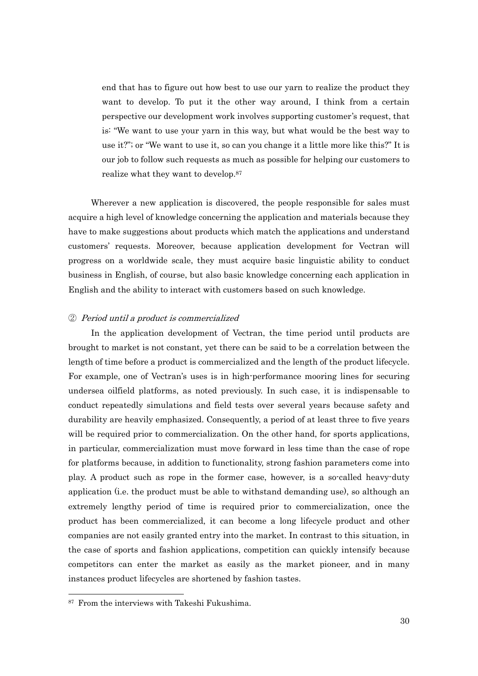end that has to figure out how best to use our yarn to realize the product they want to develop. To put it the other way around, I think from a certain perspective our development work involves supporting customer's request, that is: "We want to use your yarn in this way, but what would be the best way to use it?"; or "We want to use it, so can you change it a little more like this?" It is our job to follow such requests as much as possible for helping our customers to realize what they want to develop.87

Wherever a new application is discovered, the people responsible for sales must acquire a high level of knowledge concerning the application and materials because they have to make suggestions about products which match the applications and understand customers' requests. Moreover, because application development for Vectran will progress on a worldwide scale, they must acquire basic linguistic ability to conduct business in English, of course, but also basic knowledge concerning each application in English and the ability to interact with customers based on such knowledge.

#### ② Period until a product is commercialized

In the application development of Vectran, the time period until products are brought to market is not constant, yet there can be said to be a correlation between the length of time before a product is commercialized and the length of the product lifecycle. For example, one of Vectran's uses is in high-performance mooring lines for securing undersea oilfield platforms, as noted previously. In such case, it is indispensable to conduct repeatedly simulations and field tests over several years because safety and durability are heavily emphasized. Consequently, a period of at least three to five years will be required prior to commercialization. On the other hand, for sports applications, in particular, commercialization must move forward in less time than the case of rope for platforms because, in addition to functionality, strong fashion parameters come into play. A product such as rope in the former case, however, is a so-called heavy-duty application (i.e. the product must be able to withstand demanding use), so although an extremely lengthy period of time is required prior to commercialization, once the product has been commercialized, it can become a long lifecycle product and other companies are not easily granted entry into the market. In contrast to this situation, in the case of sports and fashion applications, competition can quickly intensify because competitors can enter the market as easily as the market pioneer, and in many instances product lifecycles are shortened by fashion tastes.

<sup>87</sup> From the interviews with Takeshi Fukushima.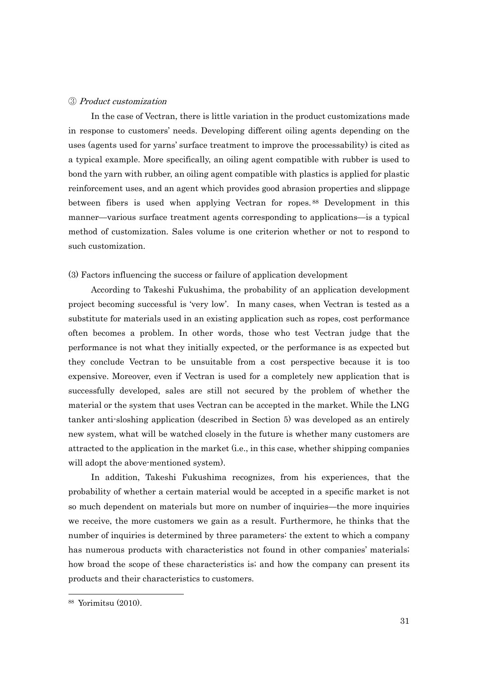#### ③ Product customization

In the case of Vectran, there is little variation in the product customizations made in response to customers' needs. Developing different oiling agents depending on the uses (agents used for yarns' surface treatment to improve the processability) is cited as a typical example. More specifically, an oiling agent compatible with rubber is used to bond the yarn with rubber, an oiling agent compatible with plastics is applied for plastic reinforcement uses, and an agent which provides good abrasion properties and slippage between fibers is used when applying Vectran for ropes. 88 Development in this manner—various surface treatment agents corresponding to applications—is a typical method of customization. Sales volume is one criterion whether or not to respond to such customization.

#### (3) Factors influencing the success or failure of application development

According to Takeshi Fukushima, the probability of an application development project becoming successful is 'very low'. In many cases, when Vectran is tested as a substitute for materials used in an existing application such as ropes, cost performance often becomes a problem. In other words, those who test Vectran judge that the performance is not what they initially expected, or the performance is as expected but they conclude Vectran to be unsuitable from a cost perspective because it is too expensive. Moreover, even if Vectran is used for a completely new application that is successfully developed, sales are still not secured by the problem of whether the material or the system that uses Vectran can be accepted in the market. While the LNG tanker anti-sloshing application (described in Section 5) was developed as an entirely new system, what will be watched closely in the future is whether many customers are attracted to the application in the market (i.e., in this case, whether shipping companies will adopt the above-mentioned system).

In addition, Takeshi Fukushima recognizes, from his experiences, that the probability of whether a certain material would be accepted in a specific market is not so much dependent on materials but more on number of inquiries—the more inquiries we receive, the more customers we gain as a result. Furthermore, he thinks that the number of inquiries is determined by three parameters: the extent to which a company has numerous products with characteristics not found in other companies' materials; how broad the scope of these characteristics is; and how the company can present its products and their characteristics to customers.

<sup>88</sup> Yorimitsu (2010).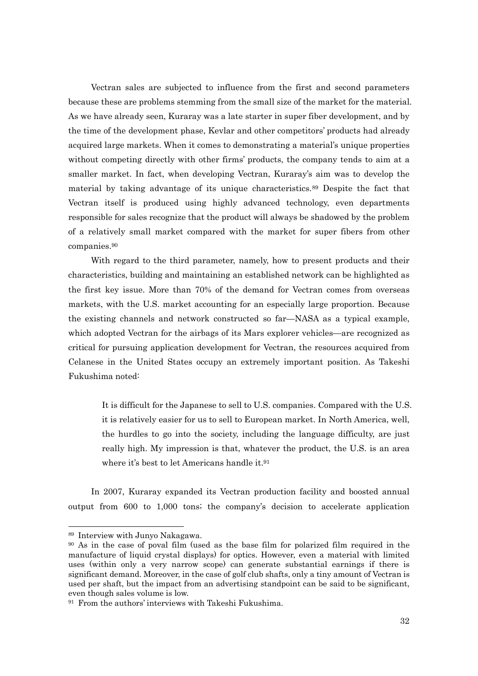Vectran sales are subjected to influence from the first and second parameters because these are problems stemming from the small size of the market for the material. As we have already seen, Kuraray was a late starter in super fiber development, and by the time of the development phase, Kevlar and other competitors' products had already acquired large markets. When it comes to demonstrating a material's unique properties without competing directly with other firms' products, the company tends to aim at a smaller market. In fact, when developing Vectran, Kuraray's aim was to develop the material by taking advantage of its unique characteristics.89 Despite the fact that Vectran itself is produced using highly advanced technology, even departments responsible for sales recognize that the product will always be shadowed by the problem of a relatively small market compared with the market for super fibers from other companies.90

With regard to the third parameter, namely, how to present products and their characteristics, building and maintaining an established network can be highlighted as the first key issue. More than 70% of the demand for Vectran comes from overseas markets, with the U.S. market accounting for an especially large proportion. Because the existing channels and network constructed so far—NASA as a typical example, which adopted Vectran for the airbags of its Mars explorer vehicles—are recognized as critical for pursuing application development for Vectran, the resources acquired from Celanese in the United States occupy an extremely important position. As Takeshi Fukushima noted:

It is difficult for the Japanese to sell to U.S. companies. Compared with the U.S. it is relatively easier for us to sell to European market. In North America, well, the hurdles to go into the society, including the language difficulty, are just really high. My impression is that, whatever the product, the U.S. is an area where it's best to let Americans handle it.91

In 2007, Kuraray expanded its Vectran production facility and boosted annual output from 600 to 1,000 tons; the company's decision to accelerate application

<sup>89</sup> Interview with Junyo Nakagawa.

<sup>90</sup> As in the case of poval film (used as the base film for polarized film required in the manufacture of liquid crystal displays) for optics. However, even a material with limited uses (within only a very narrow scope) can generate substantial earnings if there is significant demand. Moreover, in the case of golf club shafts, only a tiny amount of Vectran is used per shaft, but the impact from an advertising standpoint can be said to be significant, even though sales volume is low.

<sup>91</sup> From the authors' interviews with Takeshi Fukushima.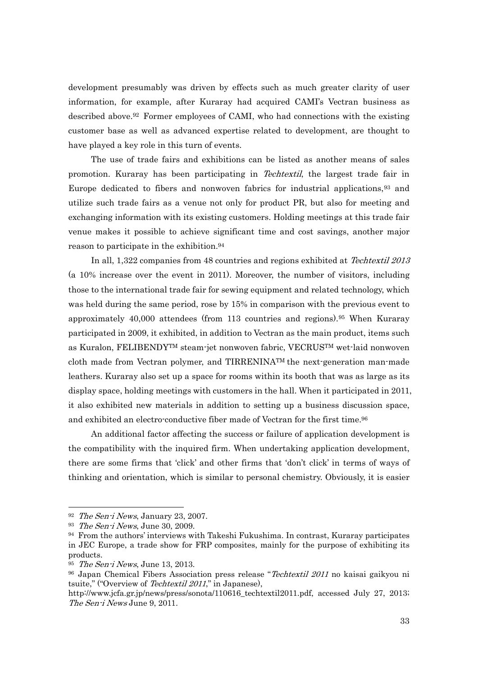development presumably was driven by effects such as much greater clarity of user information, for example, after Kuraray had acquired CAMI's Vectran business as described above.92 Former employees of CAMI, who had connections with the existing customer base as well as advanced expertise related to development, are thought to have played a key role in this turn of events.

The use of trade fairs and exhibitions can be listed as another means of sales promotion. Kuraray has been participating in Techtextil, the largest trade fair in Europe dedicated to fibers and nonwoven fabrics for industrial applications,93 and utilize such trade fairs as a venue not only for product PR, but also for meeting and exchanging information with its existing customers. Holding meetings at this trade fair venue makes it possible to achieve significant time and cost savings, another major reason to participate in the exhibition.94

In all, 1,322 companies from 48 countries and regions exhibited at Techtextil 2013 (a 10% increase over the event in 2011). Moreover, the number of visitors, including those to the international trade fair for sewing equipment and related technology, which was held during the same period, rose by 15% in comparison with the previous event to approximately 40,000 attendees (from 113 countries and regions).95 When Kuraray participated in 2009, it exhibited, in addition to Vectran as the main product, items such as Kuralon, FELIBENDYTM steam-jet nonwoven fabric, VECRUSTM wet-laid nonwoven cloth made from Vectran polymer, and TIRRENINATM the next-generation man-made leathers. Kuraray also set up a space for rooms within its booth that was as large as its display space, holding meetings with customers in the hall. When it participated in 2011, it also exhibited new materials in addition to setting up a business discussion space, and exhibited an electro-conductive fiber made of Vectran for the first time.<sup>96</sup>

An additional factor affecting the success or failure of application development is the compatibility with the inquired firm. When undertaking application development, there are some firms that 'click' and other firms that 'don't click' in terms of ways of thinking and orientation, which is similar to personal chemistry. Obviously, it is easier

 $92$  The Sen-i News, January 23, 2007.

 $93$  The Sen-i News, June 30, 2009.

<sup>94</sup> From the authors' interviews with Takeshi Fukushima. In contrast, Kuraray participates in JEC Europe, a trade show for FRP composites, mainly for the purpose of exhibiting its products.

<sup>&</sup>lt;sup>95</sup> The Sen-i News, June 13, 2013.

<sup>&</sup>lt;sup>96</sup> Japan Chemical Fibers Association press release "Techtextil 2011 no kaisai gaikyou ni tsuite," ("Overview of Techtextil 2011," in Japanese),

http://www.jcfa.gr.jp/news/press/sonota/110616 techtextil2011.pdf, accessed July 27, 2013; The Sen-i News June 9, 2011.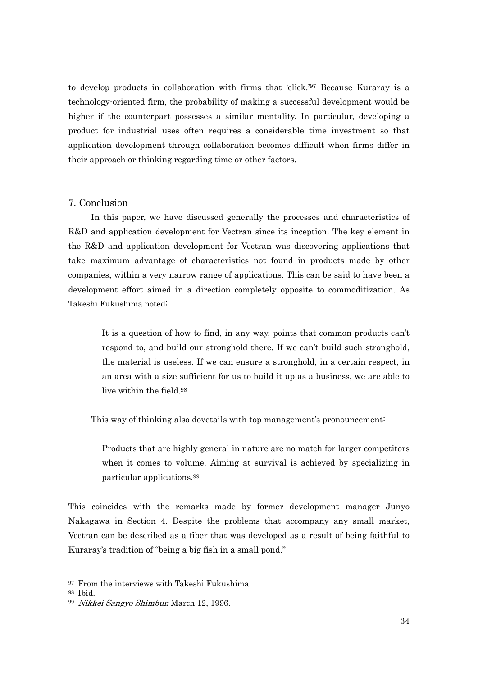to develop products in collaboration with firms that 'click.'97 Because Kuraray is a technology-oriented firm, the probability of making a successful development would be higher if the counterpart possesses a similar mentality. In particular, developing a product for industrial uses often requires a considerable time investment so that application development through collaboration becomes difficult when firms differ in their approach or thinking regarding time or other factors.

### 7. Conclusion

In this paper, we have discussed generally the processes and characteristics of R&D and application development for Vectran since its inception. The key element in the R&D and application development for Vectran was discovering applications that take maximum advantage of characteristics not found in products made by other companies, within a very narrow range of applications. This can be said to have been a development effort aimed in a direction completely opposite to commoditization. As Takeshi Fukushima noted:

 It is a question of how to find, in any way, points that common products can't respond to, and build our stronghold there. If we can't build such stronghold, the material is useless. If we can ensure a stronghold, in a certain respect, in an area with a size sufficient for us to build it up as a business, we are able to live within the field.98

This way of thinking also dovetails with top management's pronouncement:

Products that are highly general in nature are no match for larger competitors when it comes to volume. Aiming at survival is achieved by specializing in particular applications.99

This coincides with the remarks made by former development manager Junyo Nakagawa in Section 4. Despite the problems that accompany any small market, Vectran can be described as a fiber that was developed as a result of being faithful to Kuraray's tradition of "being a big fish in a small pond."

<sup>&</sup>lt;sup>97</sup> From the interviews with Takeshi Fukushima.

<sup>98</sup> Ibid.

<sup>99</sup> Nikkei Sangyo Shimbun March 12, 1996.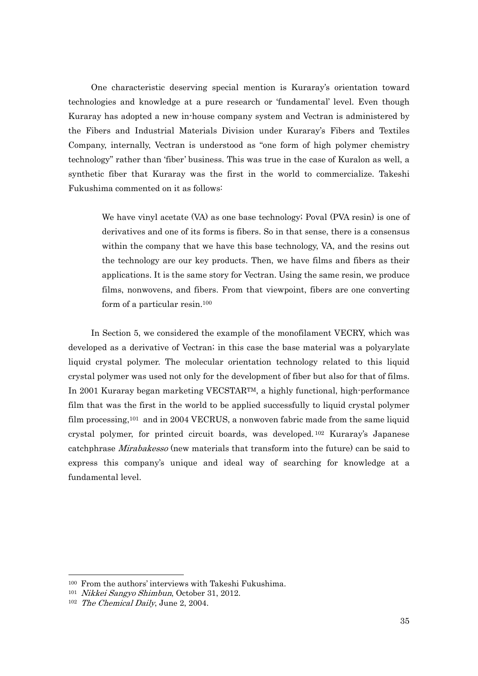One characteristic deserving special mention is Kuraray's orientation toward technologies and knowledge at a pure research or 'fundamental' level. Even though Kuraray has adopted a new in-house company system and Vectran is administered by the Fibers and Industrial Materials Division under Kuraray's Fibers and Textiles Company, internally, Vectran is understood as "one form of high polymer chemistry technology" rather than 'fiber' business. This was true in the case of Kuralon as well, a synthetic fiber that Kuraray was the first in the world to commercialize. Takeshi Fukushima commented on it as follows:

We have vinyl acetate (VA) as one base technology; Poval (PVA resin) is one of derivatives and one of its forms is fibers. So in that sense, there is a consensus within the company that we have this base technology, VA, and the resins out the technology are our key products. Then, we have films and fibers as their applications. It is the same story for Vectran. Using the same resin, we produce films, nonwovens, and fibers. From that viewpoint, fibers are one converting form of a particular resin.100

In Section 5, we considered the example of the monofilament VECRY, which was developed as a derivative of Vectran; in this case the base material was a polyarylate liquid crystal polymer. The molecular orientation technology related to this liquid crystal polymer was used not only for the development of fiber but also for that of films. In 2001 Kuraray began marketing VECSTARTM, a highly functional, high-performance film that was the first in the world to be applied successfully to liquid crystal polymer film processing,<sup>101</sup> and in 2004 VECRUS, a nonwoven fabric made from the same liquid crystal polymer, for printed circuit boards, was developed. 102 Kuraray's Japanese catchphrase *Mirabakesso* (new materials that transform into the future) can be said to express this company's unique and ideal way of searching for knowledge at a fundamental level.

<sup>100</sup> From the authors' interviews with Takeshi Fukushima.

<sup>101</sup> Nikkei Sangyo Shimbun, October 31, 2012.

<sup>102</sup> The Chemical Daily, June 2, 2004.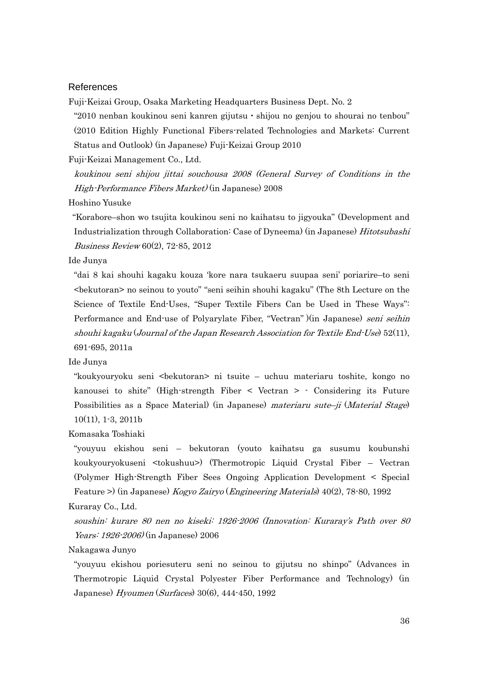### References

Fuji-Keizai Group, Osaka Marketing Headquarters Business Dept. No. 2

"2010 nenban koukinou seni kanren gijutsu・shijou no genjou to shourai no tenbou" (2010 Edition Highly Functional Fibers-related Technologies and Markets: Current Status and Outlook) (in Japanese) Fuji-Keizai Group 2010

Fuji-Keizai Management Co., Ltd.

koukinou seni shijou jittai souchousa 2008 (General Survey of Conditions in the High-Performance Fibers Market) (in Japanese) 2008

Hoshino Yusuke

 "Korabore–shon wo tsujita koukinou seni no kaihatsu to jigyouka" (Development and Industrialization through Collaboration: Case of Dyneema) (in Japanese) Hitotsubashi Business Review 60(2), 72-85, 2012

Ide Junya

"dai 8 kai shouhi kagaku kouza 'kore nara tsukaeru suupaa seni' poriarire–to seni <bekutoran> no seinou to youto" "seni seihin shouhi kagaku" (The 8th Lecture on the Science of Textile End-Uses, "Super Textile Fibers Can be Used in These Ways": Performance and End-use of Polyarylate Fiber, "Vectran" )(in Japanese) seni seihin shouhi kagaku (Journal of the Japan Research Association for Textile End-Use) 52(11), 691-695, 2011a

Ide Junya

"koukyouryoku seni <bekutoran> ni tsuite – uchuu materiaru toshite, kongo no kanousei to shite" (High-strength Fiber < Vectran > - Considering its Future Possibilities as a Space Material) (in Japanese) materiaru sute–ji (Material Stage) 10(11), 1-3, 2011b

Komasaka Toshiaki

"youyuu ekishou seni – bekutoran (youto kaihatsu ga susumu koubunshi koukyouryokuseni <tokushuu>) (Thermotropic Liquid Crystal Fiber – Vectran (Polymer High-Strength Fiber Sees Ongoing Application Development < Special Feature >) (in Japanese) Kogyo Zairyo (Engineering Materials) 40(2), 78-80, 1992 Kuraray Co., Ltd.

soushin: kurare 80 nen no kiseki: 1926-2006 (Innovation: Kuraray's Path over 80 Years: 1926-2006) (in Japanese) 2006

Nakagawa Junyo

"youyuu ekishou poriesuteru seni no seinou to gijutsu no shinpo" (Advances in Thermotropic Liquid Crystal Polyester Fiber Performance and Technology) (in Japanese) Hyoumen (Surfaces) 30(6), 444-450, 1992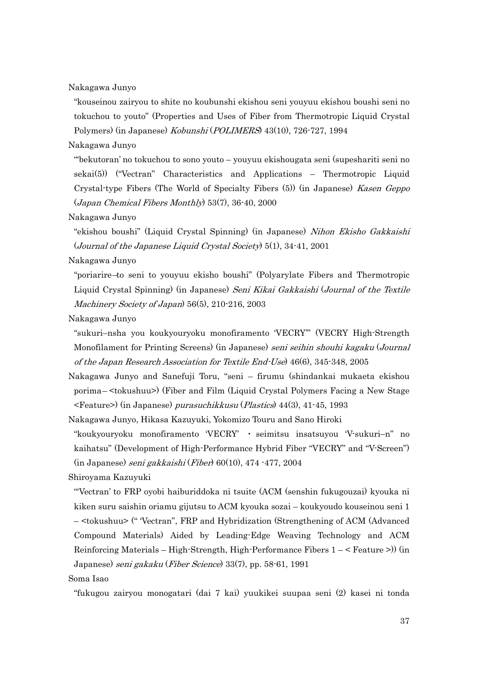Nakagawa Junyo

"kouseinou zairyou to shite no koubunshi ekishou seni youyuu ekishou boushi seni no tokuchou to youto" (Properties and Uses of Fiber from Thermotropic Liquid Crystal Polymers) (in Japanese) Kobunshi (POLIMERS) 43(10), 726-727, 1994

Nakagawa Junyo

"'bekutoran' no tokuchou to sono youto – youyuu ekishougata seni (supeshariti seni no sekai(5)) ("Vectran" Characteristics and Applications – Thermotropic Liquid Crystal-type Fibers (The World of Specialty Fibers (5)) (in Japanese) Kasen Geppo (Japan Chemical Fibers Monthly) 53(7), 36-40, 2000

Nakagawa Junyo

"ekishou boushi" (Liquid Crystal Spinning) (in Japanese) Nihon Ekisho Gakkaishi (Journal of the Japanese Liquid Crystal Society) 5(1), 34-41, 2001

Nakagawa Junyo

"poriarire–to seni to youyuu ekisho boushi" (Polyarylate Fibers and Thermotropic Liquid Crystal Spinning) (in Japanese) Seni Kikai Gakkaishi (Journal of the Textile Machinery Society of Japan) 56(5), 210-216, 2003

Nakagawa Junyo

"sukuri–nsha you koukyouryoku monofiramento 'VECRY'" (VECRY High-Strength Monofilament for Printing Screens) (in Japanese) seni seihin shouhi kagaku (Journal of the Japan Research Association for Textile End-Use) 46(6), 345-348, 2005

Nakagawa Junyo and Sanefuji Toru, "seni – firumu (shindankai mukaeta ekishou porima– <tokushuu>) (Fiber and Film (Liquid Crystal Polymers Facing a New Stage <Feature>) (in Japanese) purasuchikkusu (Plastics) 44(3), 41-45, 1993

Nakagawa Junyo, Hikasa Kazuyuki, Yokomizo Touru and Sano Hiroki

"koukyouryoku monofiramento 'VECRY' ・ seimitsu insatsuyou 'V-sukuri–n" no kaihatsu" (Development of High-Performance Hybrid Fiber "VECRY" and "V-Screen") (in Japanese) seni gakkaishi (Fiber) 60(10), 474 -477, 2004

Shiroyama Kazuyuki

"'Vectran' to FRP oyobi haiburiddoka ni tsuite (ACM (senshin fukugouzai) kyouka ni kiken suru saishin oriamu gijutsu to ACM kyouka sozai – koukyoudo kouseinou seni 1 – <tokushuu> (" 'Vectran", FRP and Hybridization (Strengthening of ACM (Advanced Compound Materials) Aided by Leading-Edge Weaving Technology and ACM Reinforcing Materials – High-Strength, High-Performance Fibers 1 – < Feature >)) (in Japanese) seni gakaku (Fiber Science) 33(7), pp. 58-61, 1991

Soma Isao

"fukugou zairyou monogatari (dai 7 kai) yuukikei suupaa seni (2) kasei ni tonda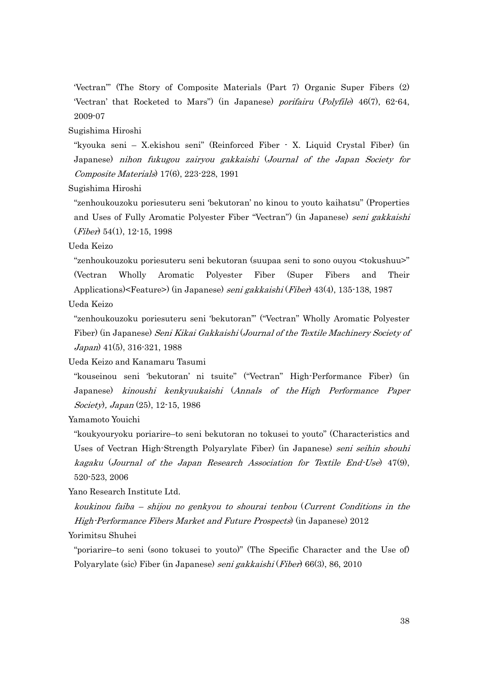'Vectran'" (The Story of Composite Materials (Part 7) Organic Super Fibers (2) 'Vectran' that Rocketed to Mars") (in Japanese) porifairu (Polyfile) 46(7), 62-64, 2009-07

Sugishima Hiroshi

"kyouka seni – X.ekishou seni" (Reinforced Fiber - X. Liquid Crystal Fiber) (in Japanese) nihon fukugou zairyou gakkaishi (Journal of the Japan Society for Composite Materials) 17(6), 223-228, 1991

Sugishima Hiroshi

"zenhoukouzoku poriesuteru seni 'bekutoran' no kinou to youto kaihatsu" (Properties and Uses of Fully Aromatic Polyester Fiber "Vectran") (in Japanese) seni gakkaishi (Fiber) 54(1), 12-15, 1998

Ueda Keizo

"zenhoukouzoku poriesuteru seni bekutoran (suupaa seni to sono ouyou <tokushuu>" (Vectran Wholly Aromatic Polyester Fiber (Super Fibers and Their Applications)<Feature>) (in Japanese) seni gakkaishi (Fiber) 43(4), 135-138, 1987

Ueda Keizo

"zenhoukouzoku poriesuteru seni 'bekutoran'" ("Vectran" Wholly Aromatic Polyester Fiber) (in Japanese) Seni Kikai Gakkaishi (Journal of the Textile Machinery Society of Japan) 41(5), 316-321, 1988

Ueda Keizo and Kanamaru Tasumi

"kouseinou seni 'bekutoran' ni tsuite" ("Vectran" High-Performance Fiber) (in Japanese) kinoushi kenkyuukaishi (Annals of the High Performance Paper Society), Japan (25), 12-15, 1986

Yamamoto Youichi

"koukyouryoku poriarire–to seni bekutoran no tokusei to youto" (Characteristics and Uses of Vectran High-Strength Polyarylate Fiber) (in Japanese) seni seihin shouhi kagaku (Journal of the Japan Research Association for Textile End-Use) 47(9), 520-523, 2006

Yano Research Institute Ltd.

koukinou faiba – shijou no genkyou to shourai tenbou (Current Conditions in the High-Performance Fibers Market and Future Prospects) (in Japanese) 2012

Yorimitsu Shuhei

"poriarire–to seni (sono tokusei to youto)" (The Specific Character and the Use of) Polyarylate (sic) Fiber (in Japanese) seni gakkaishi (Fiber) 66(3), 86, 2010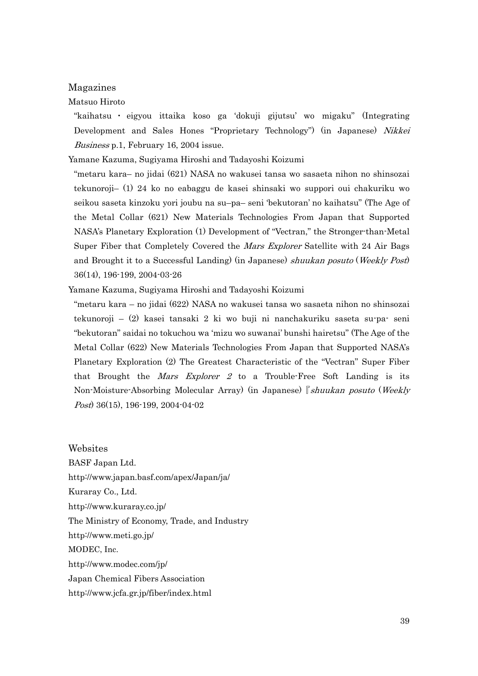#### Magazines

### Matsuo Hiroto

"kaihatsu ・ eigyou ittaika koso ga 'dokuji gijutsu' wo migaku" (Integrating Development and Sales Hones "Proprietary Technology") (in Japanese) Nikkei Business p.1, February 16, 2004 issue.

Yamane Kazuma, Sugiyama Hiroshi and Tadayoshi Koizumi

"metaru kara– no jidai (621) NASA no wakusei tansa wo sasaeta nihon no shinsozai tekunoroji– (1) 24 ko no eabaggu de kasei shinsaki wo suppori oui chakuriku wo seikou saseta kinzoku yori joubu na su–pa– seni 'bekutoran' no kaihatsu" (The Age of the Metal Collar (621) New Materials Technologies From Japan that Supported NASA's Planetary Exploration (1) Development of "Vectran," the Stronger-than-Metal Super Fiber that Completely Covered the Mars Explorer Satellite with 24 Air Bags and Brought it to a Successful Landing) (in Japanese) shuukan posuto (Weekly Post) 36(14), 196-199, 2004-03-26

Yamane Kazuma, Sugiyama Hiroshi and Tadayoshi Koizumi

"metaru kara – no jidai (622) NASA no wakusei tansa wo sasaeta nihon no shinsozai tekunoroji – (2) kasei tansaki 2 ki wo buji ni nanchakuriku saseta su-pa- seni "bekutoran" saidai no tokuchou wa 'mizu wo suwanai' bunshi hairetsu" (The Age of the Metal Collar (622) New Materials Technologies From Japan that Supported NASA's Planetary Exploration (2) The Greatest Characteristic of the "Vectran" Super Fiber that Brought the *Mars Explorer 2* to a Trouble-Free Soft Landing is its Non-Moisture-Absorbing Molecular Array) (in Japanese)『shuukan posuto (Weekly Post) 36(15), 196-199, 2004-04-02

Websites BASF Japan Ltd. http://www.japan.basf.com/apex/Japan/ja/ Kuraray Co., Ltd. http://www.kuraray.co.jp/ The Ministry of Economy, Trade, and Industry http://www.meti.go.jp/ MODEC, Inc. http://www.modec.com/jp/ Japan Chemical Fibers Association http://www.jcfa.gr.jp/fiber/index.html